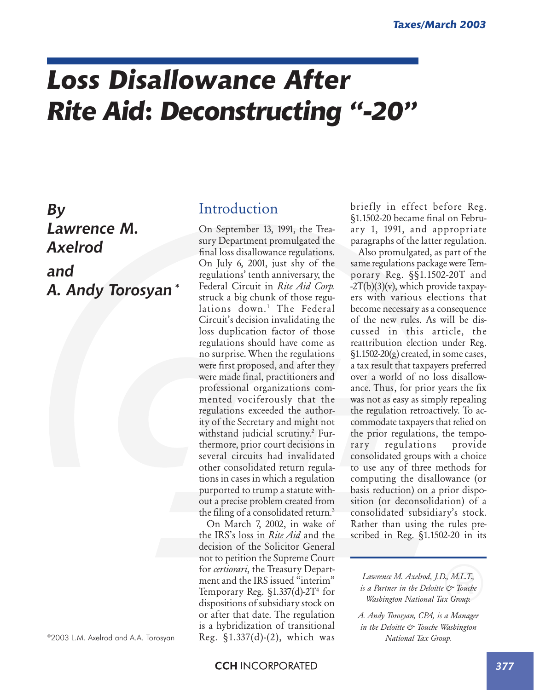# *Loss Disallowance After Rite Aid***:** *Deconstructing "-20"*

# *By Lawrence M. Axelrod and A. Andy Torosyan\**

©2003 L.M. Axelrod and A.A. Torosyan

## Introduction

On September 13, 1991, the Treasury Department promulgated the final loss disallowance regulations. On July 6, 2001, just shy of the regulations' tenth anniversary, the Federal Circuit in *Rite Aid Corp.* struck a big chunk of those regulations down.<sup>1</sup> The Federal Circuit's decision invalidating the loss duplication factor of those regulations should have come as no surprise. When the regulations were first proposed, and after they were made final, practitioners and professional organizations commented vociferously that the regulations exceeded the authority of the Secretary and might not withstand judicial scrutiny.2 Furthermore, prior court decisions in several circuits had invalidated other consolidated return regulations in cases in which a regulation purported to trump a statute without a precise problem created from the filing of a consolidated return.<sup>3</sup>

On March 7, 2002, in wake of the IRS's loss in *Rite Aid* and the decision of the Solicitor General not to petition the Supreme Court for *certiorari*, the Treasury Department and the IRS issued "interim" Temporary Reg. §1.337(d)-2T<sup>4</sup> for dispositions of subsidiary stock on or after that date. The regulation is a hybridization of transitional Reg. §1.337(d)-(2), which was

briefly in effect before Reg. §1.1502-20 became final on February 1, 1991, and appropriate paragraphs of the latter regulation.

Also promulgated, as part of the same regulations package were Temporary Reg. §§1.1502-20T and -2T(b)(3)(v), which provide taxpayers with various elections that become necessary as a consequence of the new rules. As will be discussed in this article, the reattribution election under Reg.  $\S1.1502-20(g)$  created, in some cases, a tax result that taxpayers preferred over a world of no loss disallowance. Thus, for prior years the fix was not as easy as simply repealing the regulation retroactively. To accommodate taxpayers that relied on the prior regulations, the temporary regulations provide consolidated groups with a choice to use any of three methods for computing the disallowance (or basis reduction) on a prior disposition (or deconsolidation) of a consolidated subsidiary's stock. Rather than using the rules prescribed in Reg. §1.1502-20 in its

*Lawrence M. Axelrod, J.D., M.L.T., is a Partner in the Deloitte & Touche Washington National Tax Group.*

*A. Andy Torosyan, CPA, is a Manager in the Deloitte & Touche Washington National Tax Group.*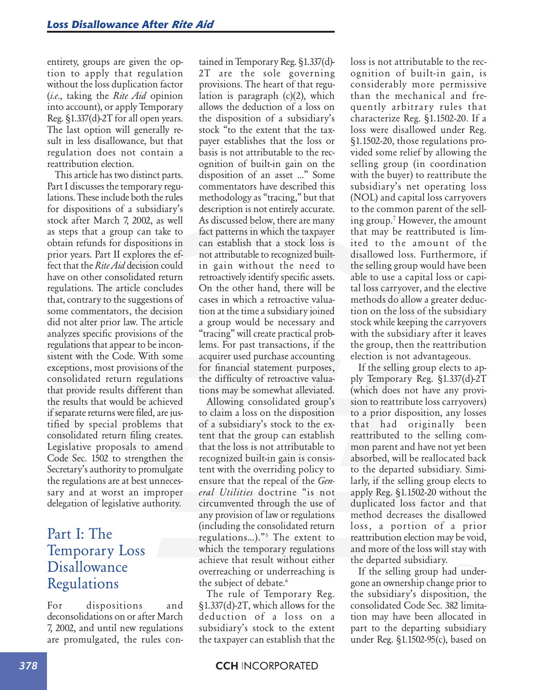entirety, groups are given the option to apply that regulation without the loss duplication factor (*i.e*., taking the *Rite Aid* opinion into account), or apply Temporary Reg. §1.337(d)-2T for all open years. The last option will generally result in less disallowance, but that regulation does not contain a reattribution election.

This article has two distinct parts. Part I discusses the temporary regulations. These include both the rules for dispositions of a subsidiary's stock after March 7, 2002, as well as steps that a group can take to obtain refunds for dispositions in prior years. Part II explores the effect that the *Rite Aid* decision could have on other consolidated return regulations. The article concludes that, contrary to the suggestions of some commentators, the decision did not alter prior law. The article analyzes specific provisions of the regulations that appear to be inconsistent with the Code. With some exceptions, most provisions of the consolidated return regulations that provide results different than the results that would be achieved if separate returns were filed, are justified by special problems that consolidated return filing creates. Legislative proposals to amend Code Sec. 1502 to strengthen the Secretary's authority to promulgate the regulations are at best unnecessary and at worst an improper delegation of legislative authority.

## Part I: The Temporary Loss **Disallowance** Regulations

For dispositions and deconsolidations on or after March 7, 2002, and until new regulations are promulgated, the rules contained in Temporary Reg. §1.337(d)- 2T are the sole governing provisions. The heart of that regulation is paragraph (c)(2), which allows the deduction of a loss on the disposition of a subsidiary's stock "to the extent that the taxpayer establishes that the loss or basis is not attributable to the recognition of built-in gain on the disposition of an asset …" Some commentators have described this methodology as "tracing," but that description is not entirely accurate. As discussed below, there are many fact patterns in which the taxpayer can establish that a stock loss is not attributable to recognized builtin gain without the need to retroactively identify specific assets. On the other hand, there will be cases in which a retroactive valuation at the time a subsidiary joined a group would be necessary and "tracing" will create practical problems. For past transactions, if the acquirer used purchase accounting for financial statement purposes, the difficulty of retroactive valuations may be somewhat alleviated.

Allowing consolidated group's to claim a loss on the disposition of a subsidiary's stock to the extent that the group can establish that the loss is not attributable to recognized built-in gain is consistent with the overriding policy to ensure that the repeal of the *General Utilities* doctrine "is not circumvented through the use of any provision of law or regulations (including the consolidated return regulations…)."5 The extent to which the temporary regulations achieve that result without either overreaching or underreaching is the subject of debate.<sup>6</sup>

The rule of Temporary Reg. §1.337(d)-2T, which allows for the deduction of a loss on a subsidiary's stock to the extent the taxpayer can establish that the

loss is not attributable to the recognition of built-in gain, is considerably more permissive than the mechanical and frequently arbitrary rules that characterize Reg. §1.1502-20. If a loss were disallowed under Reg. §1.1502-20, those regulations provided some relief by allowing the selling group (in coordination with the buyer) to reattribute the subsidiary's net operating loss (NOL) and capital loss carryovers to the common parent of the selling group.7 However, the amount that may be reattributed is limited to the amount of the disallowed loss. Furthermore, if the selling group would have been able to use a capital loss or capital loss carryover, and the elective methods do allow a greater deduction on the loss of the subsidiary stock while keeping the carryovers with the subsidiary after it leaves the group, then the reattribution election is not advantageous.

If the selling group elects to apply Temporary Reg. §1.337(d)-2T (which does not have any provision to reattribute loss carryovers) to a prior disposition, any losses that had originally been reattributed to the selling common parent and have not yet been absorbed, will be reallocated back to the departed subsidiary. Similarly, if the selling group elects to apply Reg. §1.1502-20 without the duplicated loss factor and that method decreases the disallowed loss, a portion of a prior reattribution election may be void, and more of the loss will stay with the departed subsidiary.

If the selling group had undergone an ownership change prior to the subsidiary's disposition, the consolidated Code Sec. 382 limitation may have been allocated in part to the departing subsidiary under Reg. §1.1502-95(c), based on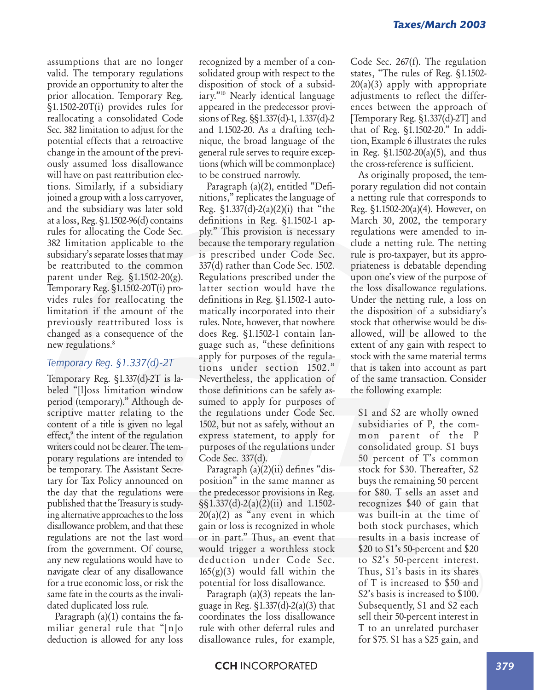assumptions that are no longer valid. The temporary regulations provide an opportunity to alter the prior allocation. Temporary Reg. §1.1502-20T(i) provides rules for reallocating a consolidated Code Sec. 382 limitation to adjust for the potential effects that a retroactive change in the amount of the previously assumed loss disallowance will have on past reattribution elections. Similarly, if a subsidiary joined a group with a loss carryover, and the subsidiary was later sold at a loss, Reg. §1.1502-96(d) contains rules for allocating the Code Sec. 382 limitation applicable to the subsidiary's separate losses that may be reattributed to the common parent under Reg. §1.1502-20(g). Temporary Reg. §1.1502-20T(i) provides rules for reallocating the limitation if the amount of the previously reattributed loss is changed as a consequence of the new regulations.<sup>8</sup>

### *Temporary Reg. §1.337(d)-2T*

Temporary Reg. §1.337(d)-2T is labeled "[l]oss limitation window period (temporary)." Although descriptive matter relating to the content of a title is given no legal effect,<sup>9</sup> the intent of the regulation writers could not be clearer. The temporary regulations are intended to be temporary. The Assistant Secretary for Tax Policy announced on the day that the regulations were published that the Treasury is studying alternative approaches to the loss disallowance problem, and that these regulations are not the last word from the government. Of course, any new regulations would have to navigate clear of any disallowance for a true economic loss, or risk the same fate in the courts as the invalidated duplicated loss rule.

Paragraph (a)(1) contains the familiar general rule that "[n]o deduction is allowed for any loss

recognized by a member of a consolidated group with respect to the disposition of stock of a subsidiary."10 Nearly identical language appeared in the predecessor provisions of Reg. §§1.337(d)-1, 1.337(d)-2 and 1.1502-20. As a drafting technique, the broad language of the general rule serves to require exceptions (which will be commonplace) to be construed narrowly.

Paragraph (a)(2), entitled "Definitions," replicates the language of Reg. §1.337(d)-2(a)(2)(i) that "the definitions in Reg. §1.1502-1 apply." This provision is necessary because the temporary regulation is prescribed under Code Sec. 337(d) rather than Code Sec. 1502. Regulations prescribed under the latter section would have the definitions in Reg. §1.1502-1 automatically incorporated into their rules. Note, however, that nowhere does Reg. §1.1502-1 contain language such as, "these definitions apply for purposes of the regulations under section 1502." Nevertheless, the application of those definitions can be safely assumed to apply for purposes of the regulations under Code Sec. 1502, but not as safely, without an express statement, to apply for purposes of the regulations under Code Sec. 337(d).

Paragraph (a)(2)(ii) defines "disposition" in the same manner as the predecessor provisions in Reg. §§1.337(d)-2(a)(2)(ii) and 1.1502-  $20(a)(2)$  as "any event in which gain or loss is recognized in whole or in part." Thus, an event that would trigger a worthless stock deduction under Code Sec.  $165(g)(3)$  would fall within the potential for loss disallowance.

Paragraph (a)(3) repeats the language in Reg.  $\S 1.337(d) - 2(a)(3)$  that coordinates the loss disallowance rule with other deferral rules and disallowance rules, for example,

Code Sec. 267(f). The regulation states, "The rules of Reg. §1.1502-  $20(a)(3)$  apply with appropriate adjustments to reflect the differences between the approach of [Temporary Reg. §1.337(d)-2T] and that of Reg. §1.1502-20." In addition, Example 6 illustrates the rules in Reg. §1.1502-20(a)(5), and thus the cross-reference is sufficient.

As originally proposed, the temporary regulation did not contain a netting rule that corresponds to Reg. §1.1502-20(a)(4). However, on March 30, 2002, the temporary regulations were amended to include a netting rule. The netting rule is pro-taxpayer, but its appropriateness is debatable depending upon one's view of the purpose of the loss disallowance regulations. Under the netting rule, a loss on the disposition of a subsidiary's stock that otherwise would be disallowed, will be allowed to the extent of any gain with respect to stock with the same material terms that is taken into account as part of the same transaction. Consider the following example:

S1 and S2 are wholly owned subsidiaries of P, the common parent of the P consolidated group. S1 buys 50 percent of T's common stock for \$30. Thereafter, S2 buys the remaining 50 percent for \$80. T sells an asset and recognizes \$40 of gain that was built-in at the time of both stock purchases, which results in a basis increase of \$20 to S1's 50-percent and \$20 to S2's 50-percent interest. Thus, S1's basis in its shares of T is increased to \$50 and S2's basis is increased to \$100. Subsequently, S1 and S2 each sell their 50-percent interest in T to an unrelated purchaser for \$75. S1 has a \$25 gain, and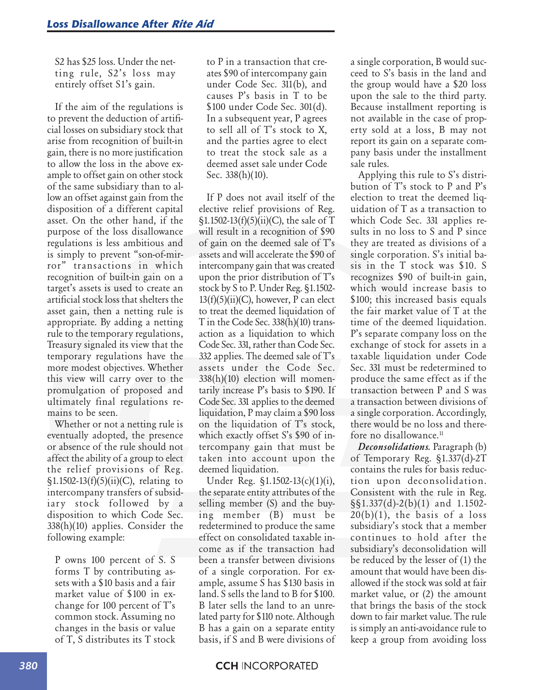S2 has \$25 loss. Under the netting rule, S2's loss may entirely offset S1's gain.

If the aim of the regulations is to prevent the deduction of artificial losses on subsidiary stock that arise from recognition of built-in gain, there is no more justification to allow the loss in the above example to offset gain on other stock of the same subsidiary than to allow an offset against gain from the disposition of a different capital asset. On the other hand, if the purpose of the loss disallowance regulations is less ambitious and is simply to prevent "son-of-mirror" transactions in which recognition of built-in gain on a target's assets is used to create an artificial stock loss that shelters the asset gain, then a netting rule is appropriate. By adding a netting rule to the temporary regulations, Treasury signaled its view that the temporary regulations have the more modest objectives. Whether this view will carry over to the promulgation of proposed and ultimately final regulations remains to be seen.

Whether or not a netting rule is eventually adopted, the presence or absence of the rule should not affect the ability of a group to elect the relief provisions of Reg.  $$1.1502-13(f)(5)(ii)(C)$ , relating to intercompany transfers of subsidiary stock followed by a disposition to which Code Sec. 338(h)(10) applies. Consider the following example:

P owns 100 percent of S. S forms T by contributing assets with a \$10 basis and a fair market value of \$100 in exchange for 100 percent of T's common stock. Assuming no changes in the basis or value of T, S distributes its T stock

to P in a transaction that creates \$90 of intercompany gain under Code Sec. 311(b), and causes P's basis in T to be \$100 under Code Sec. 301(d). In a subsequent year, P agrees to sell all of T's stock to X, and the parties agree to elect to treat the stock sale as a deemed asset sale under Code Sec. 338(h)(10).

If P does not avail itself of the elective relief provisions of Reg.  $\S1.1502-13(f)(5)(ii)(C)$ , the sale of T will result in a recognition of \$90 of gain on the deemed sale of T's assets and will accelerate the \$90 of intercompany gain that was created upon the prior distribution of T's stock by S to P. Under Reg. §1.1502-  $13(f)(5)(ii)(C)$ , however, P can elect to treat the deemed liquidation of T in the Code Sec. 338(h)(10) transaction as a liquidation to which Code Sec. 331, rather than Code Sec. 332 applies. The deemed sale of T's assets under the Code Sec. 338(h)(10) election will momentarily increase P's basis to \$190. If Code Sec. 331 applies to the deemed liquidation, P may claim a \$90 loss on the liquidation of T's stock, which exactly offset S's \$90 of intercompany gain that must be taken into account upon the deemed liquidation.

Under Reg. §1.1502-13(c)(1)(i), the separate entity attributes of the selling member (S) and the buying member (B) must be redetermined to produce the same effect on consolidated taxable income as if the transaction had been a transfer between divisions of a single corporation. For example, assume S has \$130 basis in land. S sells the land to B for \$100. B later sells the land to an unrelated party for \$110 note. Although B has a gain on a separate entity basis, if S and B were divisions of a single corporation, B would succeed to S's basis in the land and the group would have a \$20 loss upon the sale to the third party. Because installment reporting is not available in the case of property sold at a loss, B may not report its gain on a separate company basis under the installment sale rules.

Applying this rule to S's distribution of T's stock to P and P's election to treat the deemed liquidation of T as a transaction to which Code Sec. 331 applies results in no loss to S and P since they are treated as divisions of a single corporation. S's initial basis in the T stock was \$10. S recognizes \$90 of built-in gain, which would increase basis to \$100; this increased basis equals the fair market value of T at the time of the deemed liquidation. P's separate company loss on the exchange of stock for assets in a taxable liquidation under Code Sec. 331 must be redetermined to produce the same effect as if the transaction between P and S was a transaction between divisions of a single corporation. Accordingly, there would be no loss and therefore no disallowance.<sup>11</sup>

*Deconsolidations.* Paragraph (b) of Temporary Reg. §1.337(d)-2T contains the rules for basis reduction upon deconsolidation. Consistent with the rule in Reg. §§1.337(d)-2(b)(1) and 1.1502-  $20(b)(1)$ , the basis of a loss subsidiary's stock that a member continues to hold after the subsidiary's deconsolidation will be reduced by the lesser of (1) the amount that would have been disallowed if the stock was sold at fair market value, or (2) the amount that brings the basis of the stock down to fair market value. The rule is simply an anti-avoidance rule to keep a group from avoiding loss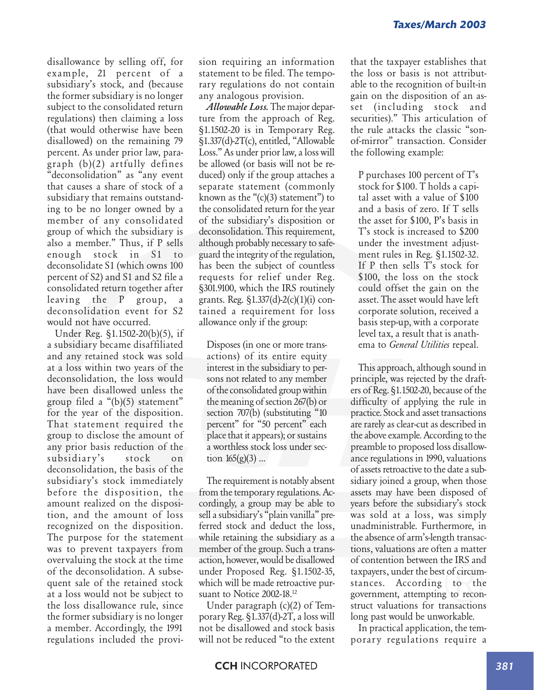disallowance by selling off, for example, 21 percent of a subsidiary's stock, and (because the former subsidiary is no longer subject to the consolidated return regulations) then claiming a loss (that would otherwise have been disallowed) on the remaining 79 percent. As under prior law, paragraph (b)(2) artfully defines "deconsolidation" as "any event that causes a share of stock of a subsidiary that remains outstanding to be no longer owned by a member of any consolidated group of which the subsidiary is also a member." Thus, if P sells enough stock in S1 to deconsolidate S1 (which owns 100 percent of S2) and S1 and S2 file a consolidated return together after leaving the P group, a deconsolidation event for S2 would not have occurred.

Under Reg. §1.1502-20(b)(5), if a subsidiary became disaffiliated and any retained stock was sold at a loss within two years of the deconsolidation, the loss would have been disallowed unless the group filed a "(b)(5) statement" for the year of the disposition. That statement required the group to disclose the amount of any prior basis reduction of the subsidiary's stock on deconsolidation, the basis of the subsidiary's stock immediately before the disposition, the amount realized on the disposition, and the amount of loss recognized on the disposition. The purpose for the statement was to prevent taxpayers from overvaluing the stock at the time of the deconsolidation. A subsequent sale of the retained stock at a loss would not be subject to the loss disallowance rule, since the former subsidiary is no longer a member. Accordingly, the 1991 regulations included the provision requiring an information statement to be filed. The temporary regulations do not contain any analogous provision.

*Allowable Loss.* The major departure from the approach of Reg. §1.1502-20 is in Temporary Reg. §1.337(d)-2T(c), entitled, "Allowable Loss." As under prior law, a loss will be allowed (or basis will not be reduced) only if the group attaches a separate statement (commonly known as the  $\degree$ (c)(3) statement") to the consolidated return for the year of the subsidiary's disposition or deconsolidation. This requirement, although probably necessary to safeguard the integrity of the regulation, has been the subject of countless requests for relief under Reg. §301.9100, which the IRS routinely grants. Reg. §1.337(d)-2(c)(1)(i) contained a requirement for loss allowance only if the group:

Disposes (in one or more transactions) of its entire equity interest in the subsidiary to persons not related to any member of the consolidated group within the meaning of section 267(b) or section 707(b) (substituting "10 percent" for "50 percent" each place that it appears); or sustains a worthless stock loss under section  $165(g)(3)$  ...

The requirement is notably absent from the temporary regulations. Accordingly, a group may be able to sell a subsidiary's "plain vanilla" preferred stock and deduct the loss, while retaining the subsidiary as a member of the group. Such a transaction, however, would be disallowed under Proposed Reg. §1.1502-35, which will be made retroactive pursuant to Notice 2002-18.<sup>12</sup>

Under paragraph (c)(2) of Temporary Reg. §1.337(d)-2T, a loss will not be disallowed and stock basis will not be reduced "to the extent that the taxpayer establishes that the loss or basis is not attributable to the recognition of built-in gain on the disposition of an asset (including stock and securities)." This articulation of the rule attacks the classic "sonof-mirror" transaction. Consider the following example:

P purchases 100 percent of T's stock for \$100. T holds a capital asset with a value of \$100 and a basis of zero. If T sells the asset for \$100, P's basis in T's stock is increased to \$200 under the investment adjustment rules in Reg. §1.1502-32. If P then sells T's stock for \$100, the loss on the stock could offset the gain on the asset. The asset would have left corporate solution, received a basis step-up, with a corporate level tax, a result that is anathema to *General Utilities* repeal.

This approach, although sound in principle, was rejected by the drafters of Reg. §1.1502-20, because of the difficulty of applying the rule in practice. Stock and asset transactions are rarely as clear-cut as described in the above example. According to the preamble to proposed loss disallowance regulations in 1990, valuations of assets retroactive to the date a subsidiary joined a group, when those assets may have been disposed of years before the subsidiary's stock was sold at a loss, was simply unadministrable. Furthermore, in the absence of arm's-length transactions, valuations are often a matter of contention between the IRS and taxpayers, under the best of circumstances. According to the government, attempting to reconstruct valuations for transactions long past would be unworkable.

In practical application, the temporary regulations require a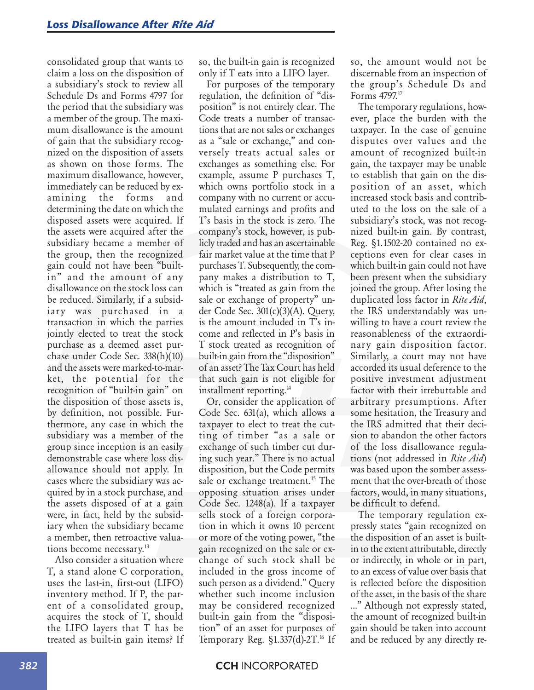consolidated group that wants to claim a loss on the disposition of a subsidiary's stock to review all Schedule Ds and Forms 4797 for the period that the subsidiary was a member of the group. The maximum disallowance is the amount of gain that the subsidiary recognized on the disposition of assets as shown on those forms. The maximum disallowance, however, immediately can be reduced by examining the forms and determining the date on which the disposed assets were acquired. If the assets were acquired after the subsidiary became a member of the group, then the recognized gain could not have been "builtin" and the amount of any disallowance on the stock loss can be reduced. Similarly, if a subsidiary was purchased in a transaction in which the parties jointly elected to treat the stock purchase as a deemed asset purchase under Code Sec. 338(h)(10) and the assets were marked-to-market, the potential for the recognition of "built-in gain" on the disposition of those assets is, by definition, not possible. Furthermore, any case in which the subsidiary was a member of the group since inception is an easily demonstrable case where loss disallowance should not apply. In cases where the subsidiary was acquired by in a stock purchase, and the assets disposed of at a gain were, in fact, held by the subsidiary when the subsidiary became a member, then retroactive valuations become necessary.<sup>13</sup>

Also consider a situation where T, a stand alone C corporation, uses the last-in, first-out (LIFO) inventory method. If P, the parent of a consolidated group, acquires the stock of T, should the LIFO layers that T has be treated as built-in gain items? If so, the built-in gain is recognized only if T eats into a LIFO layer.

For purposes of the temporary regulation, the definition of "disposition" is not entirely clear. The Code treats a number of transactions that are not sales or exchanges as a "sale or exchange," and conversely treats actual sales or exchanges as something else. For example, assume P purchases T, which owns portfolio stock in a company with no current or accumulated earnings and profits and T's basis in the stock is zero. The company's stock, however, is publicly traded and has an ascertainable fair market value at the time that P purchases T. Subsequently, the company makes a distribution to T, which is "treated as gain from the sale or exchange of property" under Code Sec. 301(c)(3)(A). Query, is the amount included in T's income and reflected in P's basis in T stock treated as recognition of built-in gain from the "disposition" of an asset? The Tax Court has held that such gain is not eligible for installment reporting.<sup>14</sup>

Or, consider the application of Code Sec. 631(a), which allows a taxpayer to elect to treat the cutting of timber "as a sale or exchange of such timber cut during such year." There is no actual disposition, but the Code permits sale or exchange treatment.<sup>15</sup> The opposing situation arises under Code Sec. 1248(a). If a taxpayer sells stock of a foreign corporation in which it owns 10 percent or more of the voting power, "the gain recognized on the sale or exchange of such stock shall be included in the gross income of such person as a dividend." Query whether such income inclusion may be considered recognized built-in gain from the "disposition" of an asset for purposes of Temporary Reg.  $\S1.337(d)$ -2T.<sup>16</sup> If so, the amount would not be discernable from an inspection of the group's Schedule Ds and Forms 4797.17

The temporary regulations, however, place the burden with the taxpayer. In the case of genuine disputes over values and the amount of recognized built-in gain, the taxpayer may be unable to establish that gain on the disposition of an asset, which increased stock basis and contributed to the loss on the sale of a subsidiary's stock, was not recognized built-in gain. By contrast, Reg. §1.1502-20 contained no exceptions even for clear cases in which built-in gain could not have been present when the subsidiary joined the group. After losing the duplicated loss factor in *Rite Aid*, the IRS understandably was unwilling to have a court review the reasonableness of the extraordinary gain disposition factor. Similarly, a court may not have accorded its usual deference to the positive investment adjustment factor with their irrebuttable and arbitrary presumptions. After some hesitation, the Treasury and the IRS admitted that their decision to abandon the other factors of the loss disallowance regulations (not addressed in *Rite Aid*) was based upon the somber assessment that the over-breath of those factors, would, in many situations, be difficult to defend.

The temporary regulation expressly states "gain recognized on the disposition of an asset is builtin to the extent attributable, directly or indirectly, in whole or in part, to an excess of value over basis that is reflected before the disposition of the asset, in the basis of the share …" Although not expressly stated, the amount of recognized built-in gain should be taken into account and be reduced by any directly re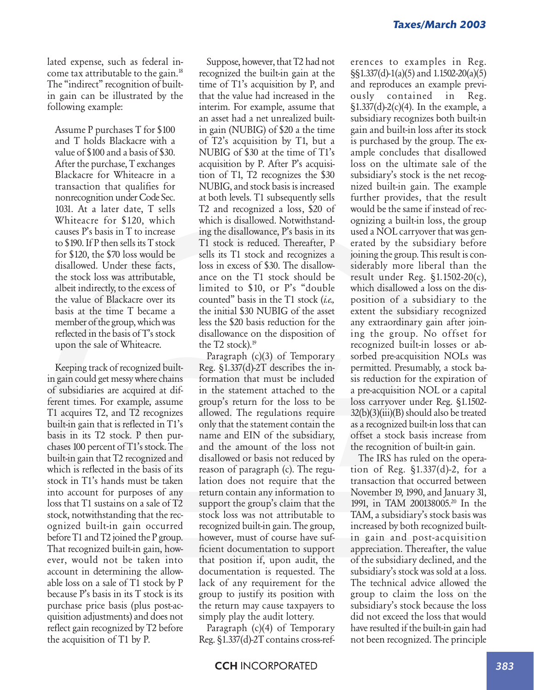lated expense, such as federal income tax attributable to the gain.18 The "indirect" recognition of builtin gain can be illustrated by the following example:

Assume P purchases T for \$100 and T holds Blackacre with a value of \$100 and a basis of \$30. After the purchase, T exchanges Blackacre for Whiteacre in a transaction that qualifies for nonrecognition under Code Sec. 1031. At a later date, T sells Whiteacre for \$120, which causes P's basis in T to increase to \$190. If P then sells its T stock for \$120, the \$70 loss would be disallowed. Under these facts, the stock loss was attributable, albeit indirectly, to the excess of the value of Blackacre over its basis at the time T became a member of the group, which was reflected in the basis of T's stock upon the sale of Whiteacre.

Keeping track of recognized builtin gain could get messy where chains of subsidiaries are acquired at different times. For example, assume T1 acquires T2, and T2 recognizes built-in gain that is reflected in T1's basis in its T2 stock. P then purchases 100 percent of T1's stock. The built-in gain that T2 recognized and which is reflected in the basis of its stock in T1's hands must be taken into account for purposes of any loss that T1 sustains on a sale of T2 stock, notwithstanding that the recognized built-in gain occurred before T1 and T2 joined the P group. That recognized built-in gain, however, would not be taken into account in determining the allowable loss on a sale of T1 stock by P because P's basis in its T stock is its purchase price basis (plus post-acquisition adjustments) and does not reflect gain recognized by T2 before the acquisition of T1 by P.

Suppose, however, that T2 had not recognized the built-in gain at the time of T1's acquisition by P, and that the value had increased in the interim. For example, assume that an asset had a net unrealized builtin gain (NUBIG) of \$20 a the time of T2's acquisition by T1, but a NUBIG of \$30 at the time of T1's acquisition by P. After P's acquisition of T1, T2 recognizes the \$30 NUBIG, and stock basis is increased at both levels. T1 subsequently sells T2 and recognized a loss, \$20 of which is disallowed. Notwithstanding the disallowance, P's basis in its T1 stock is reduced. Thereafter, P sells its T1 stock and recognizes a loss in excess of \$30. The disallowance on the T1 stock should be limited to \$10, or P's "double counted" basis in the T1 stock (*i.e.,* the initial \$30 NUBIG of the asset less the \$20 basis reduction for the disallowance on the disposition of the T2 stock). $19$ 

Paragraph (c)(3) of Temporary Reg. §1.337(d)-2T describes the information that must be included in the statement attached to the group's return for the loss to be allowed. The regulations require only that the statement contain the name and EIN of the subsidiary, and the amount of the loss not disallowed or basis not reduced by reason of paragraph (c). The regulation does not require that the return contain any information to support the group's claim that the stock loss was not attributable to recognized built-in gain. The group, however, must of course have sufficient documentation to support that position if, upon audit, the documentation is requested. The lack of any requirement for the group to justify its position with the return may cause taxpayers to simply play the audit lottery.

Paragraph (c)(4) of Temporary Reg. §1.337(d)-2T contains cross-references to examples in Reg. §§1.337(d)-1(a)(5) and 1.1502-20(a)(5) and reproduces an example previously contained in Reg.  $\S1.337(d) - 2(c)(4)$ . In the example, a subsidiary recognizes both built-in gain and built-in loss after its stock is purchased by the group. The example concludes that disallowed loss on the ultimate sale of the subsidiary's stock is the net recognized built-in gain. The example further provides, that the result would be the same if instead of recognizing a built-in loss, the group used a NOL carryover that was generated by the subsidiary before joining the group. This result is considerably more liberal than the result under Reg. §1.1502-20(c), which disallowed a loss on the disposition of a subsidiary to the extent the subsidiary recognized any extraordinary gain after joining the group. No offset for recognized built-in losses or absorbed pre-acquisition NOLs was permitted. Presumably, a stock basis reduction for the expiration of a pre-acquisition NOL or a capital loss carryover under Reg. §1.1502- 32(b)(3)(iii)(B) should also be treated as a recognized built-in loss that can offset a stock basis increase from the recognition of built-in gain.

The IRS has ruled on the operation of Reg. §1.337(d)-2, for a transaction that occurred between November 19, 1990, and January 31, 1991, in TAM 200138005.20 In the TAM, a subsidiary's stock basis was increased by both recognized builtin gain and post-acquisition appreciation. Thereafter, the value of the subsidiary declined, and the subsidiary's stock was sold at a loss. The technical advice allowed the group to claim the loss on the subsidiary's stock because the loss did not exceed the loss that would have resulted if the built-in gain had not been recognized. The principle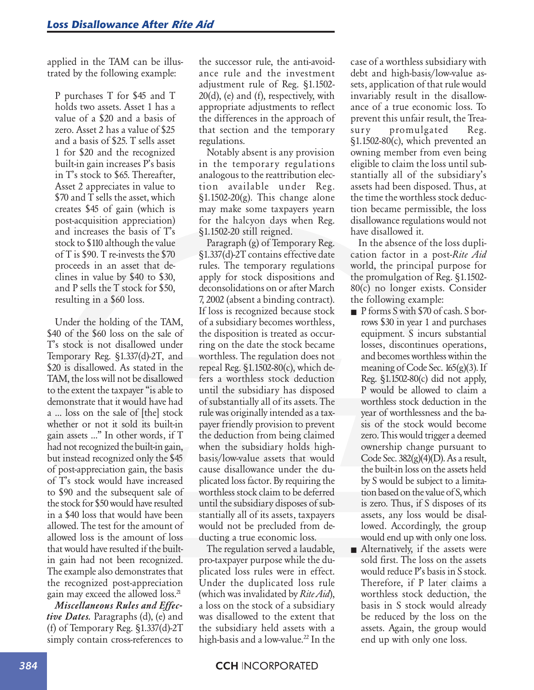applied in the TAM can be illustrated by the following example:

P purchases T for \$45 and T holds two assets. Asset 1 has a value of a \$20 and a basis of zero. Asset 2 has a value of \$25 and a basis of \$25. T sells asset 1 for \$20 and the recognized built-in gain increases P's basis in T's stock to \$65. Thereafter, Asset 2 appreciates in value to \$70 and T sells the asset, which creates \$45 of gain (which is post-acquisition appreciation) and increases the basis of T's stock to \$110 although the value of T is \$90. T re-invests the \$70 proceeds in an asset that declines in value by \$40 to \$30, and P sells the T stock for \$50, resulting in a \$60 loss.

Under the holding of the TAM, \$40 of the \$60 loss on the sale of T's stock is not disallowed under Temporary Reg. §1.337(d)-2T, and \$20 is disallowed. As stated in the TAM, the loss will not be disallowed to the extent the taxpayer "is able to demonstrate that it would have had a … loss on the sale of [the] stock whether or not it sold its built-in gain assets …" In other words, if T had not recognized the built-in gain, but instead recognized only the \$45 of post-appreciation gain, the basis of T's stock would have increased to \$90 and the subsequent sale of the stock for \$50 would have resulted in a \$40 loss that would have been allowed. The test for the amount of allowed loss is the amount of loss that would have resulted if the builtin gain had not been recognized. The example also demonstrates that the recognized post-appreciation gain may exceed the allowed loss.<sup>21</sup>

*Miscellaneous Rules and Effective Dates.* Paragraphs (d), (e) and (f) of Temporary Reg. §1.337(d)-2T simply contain cross-references to the successor rule, the anti-avoidance rule and the investment adjustment rule of Reg. §1.1502- 20(d), (e) and (f), respectively, with appropriate adjustments to reflect the differences in the approach of that section and the temporary regulations.

Notably absent is any provision in the temporary regulations analogous to the reattribution election available under Reg.  $\S1.1502-20(g)$ . This change alone may make some taxpayers yearn for the halcyon days when Reg. §1.1502-20 still reigned.

Paragraph (g) of Temporary Reg. §1.337(d)-2T contains effective date rules. The temporary regulations apply for stock dispositions and deconsolidations on or after March 7, 2002 (absent a binding contract). If loss is recognized because stock of a subsidiary becomes worthless, the disposition is treated as occurring on the date the stock became worthless. The regulation does not repeal Reg. §1.1502-80(c), which defers a worthless stock deduction until the subsidiary has disposed of substantially all of its assets. The rule was originally intended as a taxpayer friendly provision to prevent the deduction from being claimed when the subsidiary holds highbasis/low-value assets that would cause disallowance under the duplicated loss factor. By requiring the worthless stock claim to be deferred until the subsidiary disposes of substantially all of its assets, taxpayers would not be precluded from deducting a true economic loss.

The regulation served a laudable, pro-taxpayer purpose while the duplicated loss rules were in effect. Under the duplicated loss rule (which was invalidated by *Rite Aid*), a loss on the stock of a subsidiary was disallowed to the extent that the subsidiary held assets with a high-basis and a low-value.<sup>22</sup> In the case of a worthless subsidiary with debt and high-basis/low-value assets, application of that rule would invariably result in the disallowance of a true economic loss. To prevent this unfair result, the Treasury promulgated Reg. §1.1502-80(c), which prevented an owning member from even being eligible to claim the loss until substantially all of the subsidiary's assets had been disposed. Thus, at the time the worthless stock deduction became permissible, the loss disallowance regulations would not have disallowed it.

In the absence of the loss duplication factor in a post-*Rite Aid* world, the principal purpose for the promulgation of Reg. §1.1502- 80(c) no longer exists. Consider the following example:

- P forms S with \$70 of cash. S borrows \$30 in year 1 and purchases equipment. S incurs substantial losses, discontinues operations, and becomes worthless within the meaning of Code Sec. 165(g)(3). If Reg. §1.1502-80(c) did not apply, P would be allowed to claim a worthless stock deduction in the year of worthlessness and the basis of the stock would become zero. This would trigger a deemed ownership change pursuant to Code Sec.  $382(g)(4)(D)$ . As a result, the built-in loss on the assets held by S would be subject to a limitation based on the value of S, which is zero. Thus, if S disposes of its assets, any loss would be disallowed. Accordingly, the group would end up with only one loss.
- Alternatively, if the assets were sold first. The loss on the assets would reduce P's basis in S stock. Therefore, if P later claims a worthless stock deduction, the basis in S stock would already be reduced by the loss on the assets. Again, the group would end up with only one loss.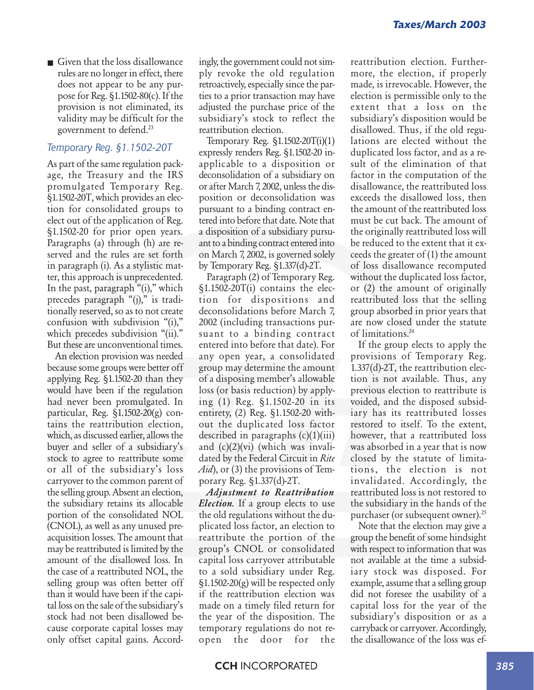■ Given that the loss disallowance rules are no longer in effect, there does not appear to be any purpose for Reg. §1.1502-80(c). If the provision is not eliminated, its validity may be difficult for the government to defend.23

#### *Temporary Reg. §1.1502-20T*

As part of the same regulation package, the Treasury and the IRS promulgated Temporary Reg. §1.1502-20T, which provides an election for consolidated groups to elect out of the application of Reg. §1.1502-20 for prior open years. Paragraphs (a) through (h) are reserved and the rules are set forth in paragraph (i). As a stylistic matter, this approach is unprecedented. In the past, paragraph "(i)," which precedes paragraph "(j)," is traditionally reserved, so as to not create confusion with subdivision "(i)," which precedes subdivision "(ii)." But these are unconventional times.

An election provision was needed because some groups were better off applying Reg. §1.1502-20 than they would have been if the regulation had never been promulgated. In particular, Reg. §1.1502-20(g) contains the reattribution election, which, as discussed earlier, allows the buyer and seller of a subsidiary's stock to agree to reattribute some or all of the subsidiary's loss carryover to the common parent of the selling group. Absent an election, the subsidiary retains its allocable portion of the consolidated NOL (CNOL), as well as any unused preacquisition losses. The amount that may be reattributed is limited by the amount of the disallowed loss. In the case of a reattributed NOL, the selling group was often better off than it would have been if the capital loss on the sale of the subsidiary's stock had not been disallowed because corporate capital losses may only offset capital gains. Accordingly, the government could not simply revoke the old regulation retroactively, especially since the parties to a prior transaction may have adjusted the purchase price of the subsidiary's stock to reflect the reattribution election.

Temporary Reg. §1.1502-20T(i)(1) expressly renders Reg. §1.1502-20 inapplicable to a disposition or deconsolidation of a subsidiary on or after March 7, 2002, unless the disposition or deconsolidation was pursuant to a binding contract entered into before that date. Note that a disposition of a subsidiary pursuant to a binding contract entered into on March 7, 2002, is governed solely by Temporary Reg. §1.337(d)-2T.

Paragraph (2) of Temporary Reg. §1.1502-20T(i) contains the election for dispositions and deconsolidations before March 7, 2002 (including transactions pursuant to a binding contract entered into before that date). For any open year, a consolidated group may determine the amount of a disposing member's allowable loss (or basis reduction) by applying (1) Reg. §1.1502-20 in its entirety, (2) Reg. §1.1502-20 without the duplicated loss factor described in paragraphs  $(c)(1)(iii)$ and  $(c)(2)(vi)$  (which was invalidated by the Federal Circuit in *Rite Aid*), or (3) the provisions of Temporary Reg. §1.337(d)-2T.

*Adjustment to Reattribution Election.* If a group elects to use the old regulations without the duplicated loss factor, an election to reattribute the portion of the group's CNOL or consolidated capital loss carryover attributable to a sold subsidiary under Reg.  $\S1.1502-20(g)$  will be respected only if the reattribution election was made on a timely filed return for the year of the disposition. The temporary regulations do not reopen the door for the reattribution election. Furthermore, the election, if properly made, is irrevocable. However, the election is permissible only to the extent that a loss on the subsidiary's disposition would be disallowed. Thus, if the old regulations are elected without the duplicated loss factor, and as a result of the elimination of that factor in the computation of the disallowance, the reattributed loss exceeds the disallowed loss, then the amount of the reattributed loss must be cut back. The amount of the originally reattributed loss will be reduced to the extent that it exceeds the greater of (1) the amount of loss disallowance recomputed without the duplicated loss factor, or (2) the amount of originally reattributed loss that the selling group absorbed in prior years that are now closed under the statute of limitations.24

If the group elects to apply the provisions of Temporary Reg. 1.337(d)-2T, the reattribution election is not available. Thus, any previous election to reattribute is voided, and the disposed subsidiary has its reattributed losses restored to itself. To the extent, however, that a reattributed loss was absorbed in a year that is now closed by the statute of limitations, the election is not invalidated. Accordingly, the reattributed loss is not restored to the subsidiary in the hands of the purchaser (or subsequent owner).<sup>25</sup>

Note that the election may give a group the benefit of some hindsight with respect to information that was not available at the time a subsidiary stock was disposed. For example, assume that a selling group did not foresee the usability of a capital loss for the year of the subsidiary's disposition or as a carryback or carryover. Accordingly, the disallowance of the loss was ef-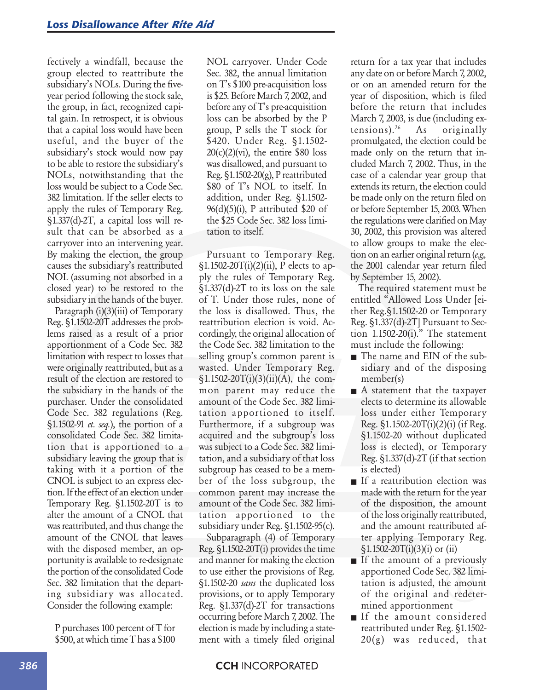fectively a windfall, because the group elected to reattribute the subsidiary's NOLs. During the fiveyear period following the stock sale, the group, in fact, recognized capital gain. In retrospect, it is obvious that a capital loss would have been useful, and the buyer of the subsidiary's stock would now pay to be able to restore the subsidiary's NOLs, notwithstanding that the loss would be subject to a Code Sec. 382 limitation. If the seller elects to apply the rules of Temporary Reg. §1.337(d)-2T, a capital loss will result that can be absorbed as a carryover into an intervening year. By making the election, the group causes the subsidiary's reattributed NOL (assuming not absorbed in a closed year) to be restored to the subsidiary in the hands of the buyer.

Paragraph (i)(3)(iii) of Temporary Reg. §1.1502-20T addresses the problems raised as a result of a prior apportionment of a Code Sec. 382 limitation with respect to losses that were originally reattributed, but as a result of the election are restored to the subsidiary in the hands of the purchaser. Under the consolidated Code Sec. 382 regulations (Reg. §1.1502-91 *et. seq.*), the portion of a consolidated Code Sec. 382 limitation that is apportioned to a subsidiary leaving the group that is taking with it a portion of the CNOL is subject to an express election. If the effect of an election under Temporary Reg. §1.1502-20T is to alter the amount of a CNOL that was reattributed, and thus change the amount of the CNOL that leaves with the disposed member, an opportunity is available to re-designate the portion of the consolidated Code Sec. 382 limitation that the departing subsidiary was allocated. Consider the following example:

P purchases 100 percent of T for \$500, at which time T has a \$100 NOL carryover. Under Code Sec. 382, the annual limitation on T's \$100 pre-acquisition loss is \$25. Before March 7, 2002, and before any of T's pre-acquisition loss can be absorbed by the P group, P sells the T stock for \$420. Under Reg. §1.1502-  $20(c)(2)(vi)$ , the entire \$80 loss was disallowed, and pursuant to Reg. §1.1502-20(g), P reattributed \$80 of T's NOL to itself. In addition, under Reg. §1.1502-  $96(d)(5)(i)$ , P attributed \$20 of the \$25 Code Sec. 382 loss limitation to itself.

Pursuant to Temporary Reg. §1.1502-20T(i)(2)(ii), P elects to apply the rules of Temporary Reg. §1.337(d)-2T to its loss on the sale of T. Under those rules, none of the loss is disallowed. Thus, the reattribution election is void. Accordingly, the original allocation of the Code Sec. 382 limitation to the selling group's common parent is wasted. Under Temporary Reg.  $$1.1502-20T(i)(3)(ii)(A)$ , the common parent may reduce the amount of the Code Sec. 382 limitation apportioned to itself. Furthermore, if a subgroup was acquired and the subgroup's loss was subject to a Code Sec. 382 limitation, and a subsidiary of that loss subgroup has ceased to be a member of the loss subgroup, the common parent may increase the amount of the Code Sec. 382 limitation apportioned to the subsidiary under Reg. §1.1502-95(c).

Subparagraph (4) of Temporary Reg. §1.1502-20T(i) provides the time and manner for making the election to use either the provisions of Reg. §1.1502-20 *sans* the duplicated loss provisions, or to apply Temporary Reg. §1.337(d)-2T for transactions occurring before March 7, 2002. The election is made by including a statement with a timely filed original return for a tax year that includes any date on or before March 7, 2002, or on an amended return for the year of disposition, which is filed before the return that includes March 7, 2003, is due (including extensions).26 As originally promulgated, the election could be made only on the return that included March 7, 2002. Thus, in the case of a calendar year group that extends its return, the election could be made only on the return filed on or before September 15, 2003. When the regulations were clarified on May 30, 2002, this provision was altered to allow groups to make the election on an earlier original return (*e.g.,* the 2001 calendar year return filed by September 15, 2002).

The required statement must be entitled "Allowed Loss Under [either Reg.§1.1502-20 or Temporary Reg. §1.337(d)-2T] Pursuant to Section  $1.1502-20(i)$ ." The statement must include the following:

- The name and EIN of the subsidiary and of the disposing member(s)
- A statement that the taxpayer elects to determine its allowable loss under either Temporary Reg.  $\S 1.1502 - 20T(i)(2)(i)$  (if Reg. §1.1502-20 without duplicated loss is elected), or Temporary Reg. §1.337(d)-2T (if that section is elected)
- If a reattribution election was made with the return for the year of the disposition, the amount of the loss originally reattributed, and the amount reattributed after applying Temporary Reg.  $\frac{1}{1502-20T(i)(3)(i)}$  or (ii)
- If the amount of a previously apportioned Code Sec. 382 limitation is adjusted, the amount of the original and redetermined apportionment
- If the amount considered reattributed under Reg. §1.1502- 20(g) was reduced, that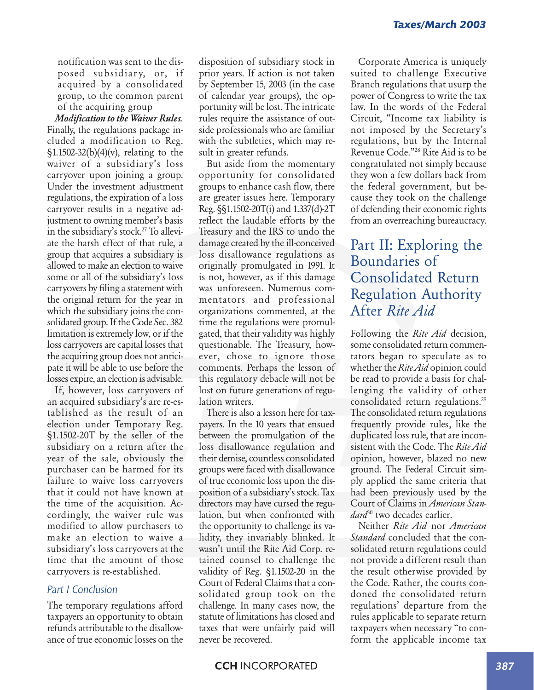notification was sent to the disposed subsidiary, or, if acquired by a consolidated group, to the common parent of the acquiring group

*Modification to the Waiver Rules.* Finally, the regulations package included a modification to Reg. §1.1502-32(b)(4)(v), relating to the waiver of a subsidiary's loss carryover upon joining a group. Under the investment adjustment regulations, the expiration of a loss carryover results in a negative adjustment to owning member's basis in the subsidiary's stock.<sup>27</sup> To alleviate the harsh effect of that rule, a group that acquires a subsidiary is allowed to make an election to waive some or all of the subsidiary's loss carryovers by filing a statement with the original return for the year in which the subsidiary joins the consolidated group. If the Code Sec. 382 limitation is extremely low, or if the loss carryovers are capital losses that the acquiring group does not anticipate it will be able to use before the losses expire, an election is advisable.

If, however, loss carryovers of an acquired subsidiary's are re-established as the result of an election under Temporary Reg. §1.1502-20T by the seller of the subsidiary on a return after the year of the sale, obviously the purchaser can be harmed for its failure to waive loss carryovers that it could not have known at the time of the acquisition. Accordingly, the waiver rule was modified to allow purchasers to make an election to waive a subsidiary's loss carryovers at the time that the amount of those carryovers is re-established.

#### *Part I Conclusion*

The temporary regulations afford taxpayers an opportunity to obtain refunds attributable to the disallowance of true economic losses on the disposition of subsidiary stock in prior years. If action is not taken by September 15, 2003 (in the case of calendar year groups), the opportunity will be lost. The intricate rules require the assistance of outside professionals who are familiar with the subtleties, which may result in greater refunds.

But aside from the momentary opportunity for consolidated groups to enhance cash flow, there are greater issues here. Temporary Reg. §§1.1502-20T(i) and 1.337(d)-2T reflect the laudable efforts by the Treasury and the IRS to undo the damage created by the ill-conceived loss disallowance regulations as originally promulgated in 1991. It is not, however, as if this damage was unforeseen. Numerous commentators and professional organizations commented, at the time the regulations were promulgated, that their validity was highly questionable. The Treasury, however, chose to ignore those comments. Perhaps the lesson of this regulatory debacle will not be lost on future generations of regulation writers.

There is also a lesson here for taxpayers. In the 10 years that ensued between the promulgation of the loss disallowance regulation and their demise, countless consolidated groups were faced with disallowance of true economic loss upon the disposition of a subsidiary's stock. Tax directors may have cursed the regulation, but when confronted with the opportunity to challenge its validity, they invariably blinked. It wasn't until the Rite Aid Corp. retained counsel to challenge the validity of Reg. §1.1502-20 in the Court of Federal Claims that a consolidated group took on the challenge. In many cases now, the statute of limitations has closed and taxes that were unfairly paid will never be recovered.

Corporate America is uniquely suited to challenge Executive Branch regulations that usurp the power of Congress to write the tax law. In the words of the Federal Circuit, "Income tax liability is not imposed by the Secretary's regulations, but by the Internal Revenue Code."28 Rite Aid is to be congratulated not simply because they won a few dollars back from the federal government, but because they took on the challenge of defending their economic rights from an overreaching bureaucracy.

## Part II: Exploring the Boundaries of Consolidated Return Regulation Authority After *Rite Aid*

Following the *Rite Aid* decision, some consolidated return commentators began to speculate as to whether the *Rite Aid* opinion could be read to provide a basis for challenging the validity of other consolidated return regulations.29 The consolidated return regulations frequently provide rules, like the duplicated loss rule, that are inconsistent with the Code. The *Rite Aid* opinion, however, blazed no new ground. The Federal Circuit simply applied the same criteria that had been previously used by the Court of Claims in *American Standard*30 two decades earlier.

Neither *Rite Aid* nor *American Standard* concluded that the consolidated return regulations could not provide a different result than the result otherwise provided by the Code. Rather, the courts condoned the consolidated return regulations' departure from the rules applicable to separate return taxpayers when necessary "to conform the applicable income tax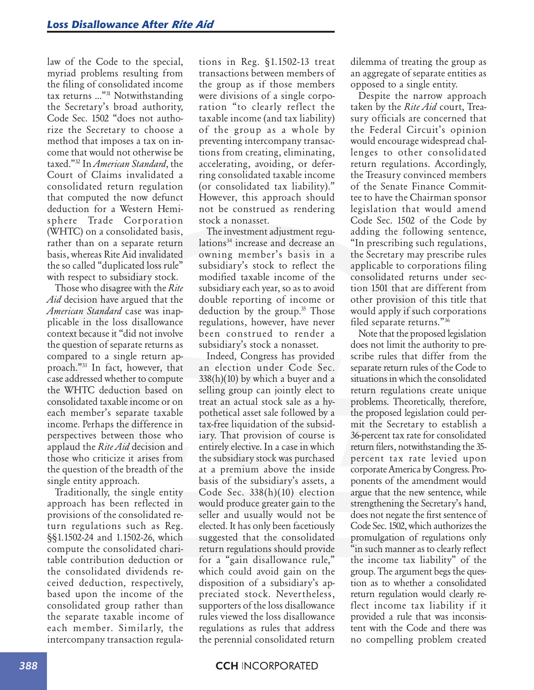law of the Code to the special, myriad problems resulting from the filing of consolidated income tax returns …"31 Notwithstanding the Secretary's broad authority, Code Sec. 1502 "does not authorize the Secretary to choose a method that imposes a tax on income that would not otherwise be taxed."32 In *American Standard*, the Court of Claims invalidated a consolidated return regulation that computed the now defunct deduction for a Western Hemisphere Trade Corporation (WHTC) on a consolidated basis, rather than on a separate return basis, whereas Rite Aid invalidated the so called "duplicated loss rule" with respect to subsidiary stock.

Those who disagree with the *Rite Aid* decision have argued that the *American Standard* case was inapplicable in the loss disallowance context because it "did not involve the question of separate returns as compared to a single return approach."33 In fact, however, that case addressed whether to compute the WHTC deduction based on consolidated taxable income or on each member's separate taxable income. Perhaps the difference in perspectives between those who applaud the *Rite Aid* decision and those who criticize it arises from the question of the breadth of the single entity approach.

Traditionally, the single entity approach has been reflected in provisions of the consolidated return regulations such as Reg. §§1.1502-24 and 1.1502-26, which compute the consolidated charitable contribution deduction or the consolidated dividends received deduction, respectively, based upon the income of the consolidated group rather than the separate taxable income of each member. Similarly, the intercompany transaction regulations in Reg. §1.1502-13 treat transactions between members of the group as if those members were divisions of a single corporation "to clearly reflect the taxable income (and tax liability) of the group as a whole by preventing intercompany transactions from creating, eliminating, accelerating, avoiding, or deferring consolidated taxable income (or consolidated tax liability)." However, this approach should not be construed as rendering stock a nonasset.

The investment adjustment regulations<sup>34</sup> increase and decrease an owning member's basis in a subsidiary's stock to reflect the modified taxable income of the subsidiary each year, so as to avoid double reporting of income or deduction by the group.<sup>35</sup> Those regulations, however, have never been construed to render a subsidiary's stock a nonasset.

Indeed, Congress has provided an election under Code Sec. 338(h)(10) by which a buyer and a selling group can jointly elect to treat an actual stock sale as a hypothetical asset sale followed by a tax-free liquidation of the subsidiary. That provision of course is entirely elective. In a case in which the subsidiary stock was purchased at a premium above the inside basis of the subsidiary's assets, a Code Sec. 338(h)(10) election would produce greater gain to the seller and usually would not be elected. It has only been facetiously suggested that the consolidated return regulations should provide for a "gain disallowance rule," which could avoid gain on the disposition of a subsidiary's appreciated stock. Nevertheless, supporters of the loss disallowance rules viewed the loss disallowance regulations as rules that address the perennial consolidated return

dilemma of treating the group as an aggregate of separate entities as opposed to a single entity.

Despite the narrow approach taken by the *Rite Aid* court, Treasury officials are concerned that the Federal Circuit's opinion would encourage widespread challenges to other consolidated return regulations. Accordingly, the Treasury convinced members of the Senate Finance Committee to have the Chairman sponsor legislation that would amend Code Sec. 1502 of the Code by adding the following sentence, "In prescribing such regulations, the Secretary may prescribe rules applicable to corporations filing consolidated returns under section 1501 that are different from other provision of this title that would apply if such corporations filed separate returns."36

Note that the proposed legislation does not limit the authority to prescribe rules that differ from the separate return rules of the Code to situations in which the consolidated return regulations create unique problems. Theoretically, therefore, the proposed legislation could permit the Secretary to establish a 36-percent tax rate for consolidated return filers, notwithstanding the 35 percent tax rate levied upon corporate America by Congress. Proponents of the amendment would argue that the new sentence, while strengthening the Secretary's hand, does not negate the first sentence of Code Sec. 1502, which authorizes the promulgation of regulations only "in such manner as to clearly reflect the income tax liability" of the group. The argument begs the question as to whether a consolidated return regulation would clearly reflect income tax liability if it provided a rule that was inconsistent with the Code and there was no compelling problem created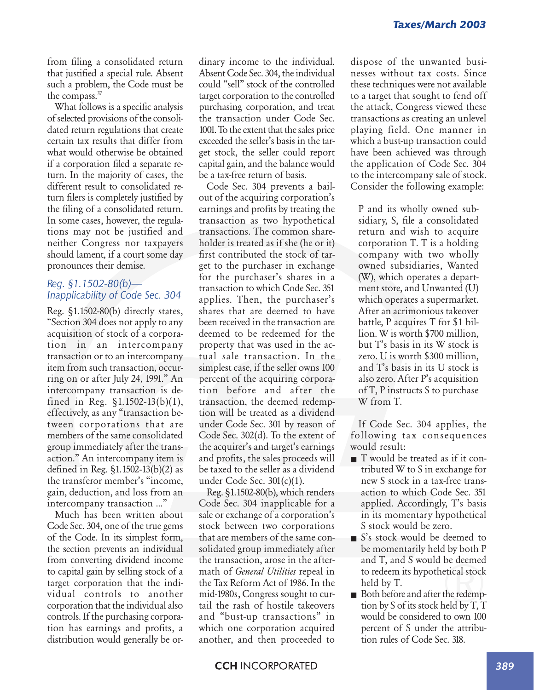from filing a consolidated return that justified a special rule. Absent such a problem, the Code must be the compass.37

What follows is a specific analysis of selected provisions of the consolidated return regulations that create certain tax results that differ from what would otherwise be obtained if a corporation filed a separate return. In the majority of cases, the different result to consolidated return filers is completely justified by the filing of a consolidated return. In some cases, however, the regulations may not be justified and neither Congress nor taxpayers should lament, if a court some day pronounces their demise.

## *Reg. §1.1502-80(b)— Inapplicability of Code Sec. 304*

Reg. §1.1502-80(b) directly states, "Section 304 does not apply to any acquisition of stock of a corporation in an intercompany transaction or to an intercompany item from such transaction, occurring on or after July 24, 1991." An intercompany transaction is defined in Reg. §1.1502-13(b)(1), effectively, as any "transaction between corporations that are members of the same consolidated group immediately after the transaction." An intercompany item is defined in Reg. §1.1502-13(b)(2) as the transferor member's "income, gain, deduction, and loss from an intercompany transaction …"

Much has been written about Code Sec. 304, one of the true gems of the Code. In its simplest form, the section prevents an individual from converting dividend income to capital gain by selling stock of a target corporation that the individual controls to another corporation that the individual also controls. If the purchasing corporation has earnings and profits, a distribution would generally be ordinary income to the individual. Absent Code Sec. 304, the individual could "sell" stock of the controlled target corporation to the controlled purchasing corporation, and treat the transaction under Code Sec. 1001. To the extent that the sales price exceeded the seller's basis in the target stock, the seller could report capital gain, and the balance would be a tax-free return of basis.

Code Sec. 304 prevents a bailout of the acquiring corporation's earnings and profits by treating the transaction as two hypothetical transactions. The common shareholder is treated as if she (he or it) first contributed the stock of target to the purchaser in exchange for the purchaser's shares in a transaction to which Code Sec. 351 applies. Then, the purchaser's shares that are deemed to have been received in the transaction are deemed to be redeemed for the property that was used in the actual sale transaction. In the simplest case, if the seller owns 100 percent of the acquiring corporation before and after the transaction, the deemed redemption will be treated as a dividend under Code Sec. 301 by reason of Code Sec. 302(d). To the extent of the acquirer's and target's earnings and profits, the sales proceeds will be taxed to the seller as a dividend under Code Sec. 301(c)(1).

Reg. §1.1502-80(b), which renders Code Sec. 304 inapplicable for a sale or exchange of a corporation's stock between two corporations that are members of the same consolidated group immediately after the transaction, arose in the aftermath of *General Utilities* repeal in the Tax Reform Act of 1986. In the mid-1980s, Congress sought to curtail the rash of hostile takeovers and "bust-up transactions" in which one corporation acquired another, and then proceeded to

dispose of the unwanted businesses without tax costs. Since these techniques were not available to a target that sought to fend off the attack, Congress viewed these transactions as creating an unlevel playing field. One manner in which a bust-up transaction could have been achieved was through the application of Code Sec. 304 to the intercompany sale of stock. Consider the following example:

P and its wholly owned subsidiary, S, file a consolidated return and wish to acquire corporation T. T is a holding company with two wholly owned subsidiaries, Wanted (W), which operates a department store, and Unwanted (U) which operates a supermarket. After an acrimonious takeover battle, P acquires T for \$1 billion. W is worth \$700 million, but T's basis in its W stock is zero. U is worth \$300 million, and T's basis in its U stock is also zero. After P's acquisition of T, P instructs S to purchase W from T.

If Code Sec. 304 applies, the following tax consequences would result:

- T would be treated as if it contributed W to S in exchange for new S stock in a tax-free transaction to which Code Sec. 351 applied. Accordingly, T's basis in its momentary hypothetical S stock would be zero.
- S's stock would be deemed to be momentarily held by both P and T, and S would be deemed to redeem its hypothetical stock held by T.
- Both before and after the redemption by S of its stock held by T, T would be considered to own 100 percent of S under the attribution rules of Code Sec. 318.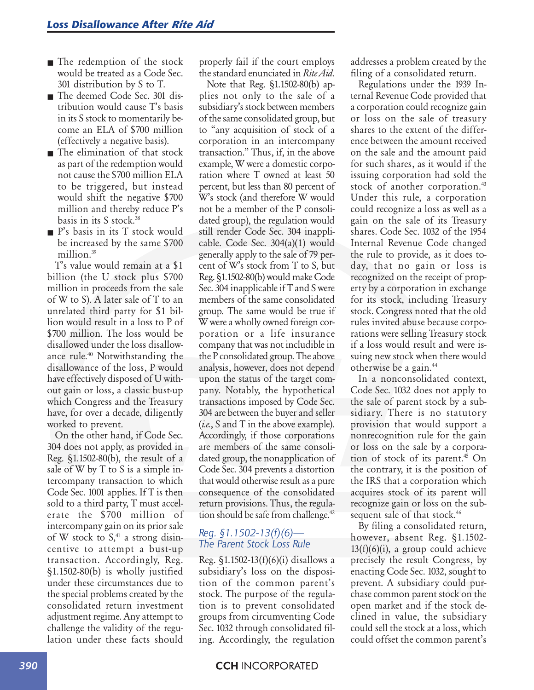- The redemption of the stock would be treated as a Code Sec. 301 distribution by S to T.
- The deemed Code Sec. 301 distribution would cause T's basis in its S stock to momentarily become an ELA of \$700 million (effectively a negative basis).
- The elimination of that stock as part of the redemption would not cause the \$700 million ELA to be triggered, but instead would shift the negative \$700 million and thereby reduce P's basis in its S stock.38
- P's basis in its T stock would be increased by the same \$700 million.<sup>39</sup>

T's value would remain at a \$1 billion (the U stock plus \$700 million in proceeds from the sale of W to S). A later sale of T to an unrelated third party for \$1 billion would result in a loss to P of \$700 million. The loss would be disallowed under the loss disallowance rule.<sup>40</sup> Notwithstanding the disallowance of the loss, P would have effectively disposed of U without gain or loss, a classic bust-up which Congress and the Treasury have, for over a decade, diligently worked to prevent.

On the other hand, if Code Sec. 304 does not apply, as provided in Reg. §1.1502-80(b), the result of a sale of W by T to S is a simple intercompany transaction to which Code Sec. 1001 applies. If T is then sold to a third party, T must accelerate the \$700 million of intercompany gain on its prior sale of W stock to  $S<sub>1</sub><sup>41</sup>$  a strong disincentive to attempt a bust-up transaction. Accordingly, Reg. §1.1502-80(b) is wholly justified under these circumstances due to the special problems created by the consolidated return investment adjustment regime. Any attempt to challenge the validity of the regulation under these facts should

properly fail if the court employs the standard enunciated in *Rite Aid*.

Note that Reg. §1.1502-80(b) applies not only to the sale of a subsidiary's stock between members of the same consolidated group, but to "any acquisition of stock of a corporation in an intercompany transaction." Thus, if, in the above example, W were a domestic corporation where T owned at least 50 percent, but less than 80 percent of W's stock (and therefore W would not be a member of the P consolidated group), the regulation would still render Code Sec. 304 inapplicable. Code Sec. 304(a)(1) would generally apply to the sale of 79 percent of W's stock from T to S, but Reg. §1.1502-80(b) would make Code Sec. 304 inapplicable if T and S were members of the same consolidated group. The same would be true if W were a wholly owned foreign corporation or a life insurance company that was not includible in the P consolidated group. The above analysis, however, does not depend upon the status of the target company. Notably, the hypothetical transactions imposed by Code Sec. 304 are between the buyer and seller (*i.e.*, S and T in the above example). Accordingly, if those corporations are members of the same consolidated group, the nonapplication of Code Sec. 304 prevents a distortion that would otherwise result as a pure consequence of the consolidated return provisions. Thus, the regulation should be safe from challenge.<sup>42</sup>

#### *Reg. §1.1502-13(f)(6)— The Parent Stock Loss Rule*

Reg.  $\S 1.1502 - 13(f)(6)(i)$  disallows a subsidiary's loss on the disposition of the common parent's stock. The purpose of the regulation is to prevent consolidated groups from circumventing Code Sec. 1032 through consolidated filing. Accordingly, the regulation

addresses a problem created by the filing of a consolidated return.

Regulations under the 1939 Internal Revenue Code provided that a corporation could recognize gain or loss on the sale of treasury shares to the extent of the difference between the amount received on the sale and the amount paid for such shares, as it would if the issuing corporation had sold the stock of another corporation.<sup>43</sup> Under this rule, a corporation could recognize a loss as well as a gain on the sale of its Treasury shares. Code Sec. 1032 of the 1954 Internal Revenue Code changed the rule to provide, as it does today, that no gain or loss is recognized on the receipt of property by a corporation in exchange for its stock, including Treasury stock. Congress noted that the old rules invited abuse because corporations were selling Treasury stock if a loss would result and were issuing new stock when there would otherwise be a gain.44

In a nonconsolidated context, Code Sec. 1032 does not apply to the sale of parent stock by a subsidiary. There is no statutory provision that would support a nonrecognition rule for the gain or loss on the sale by a corporation of stock of its parent.45 On the contrary, it is the position of the IRS that a corporation which acquires stock of its parent will recognize gain or loss on the subsequent sale of that stock.<sup>46</sup>

By filing a consolidated return, however, absent Reg. §1.1502-  $13(f)(6)(i)$ , a group could achieve precisely the result Congress, by enacting Code Sec. 1032, sought to prevent. A subsidiary could purchase common parent stock on the open market and if the stock declined in value, the subsidiary could sell the stock at a loss, which could offset the common parent's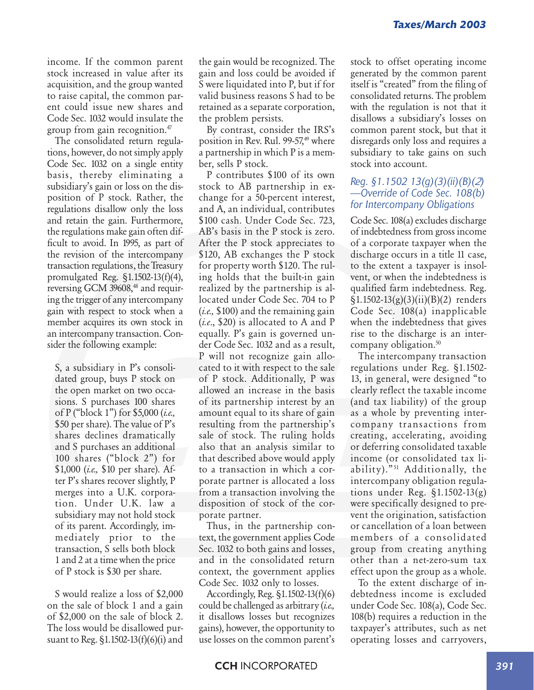income. If the common parent stock increased in value after its acquisition, and the group wanted to raise capital, the common parent could issue new shares and Code Sec. 1032 would insulate the group from gain recognition.47

The consolidated return regulations, however, do not simply apply Code Sec. 1032 on a single entity basis, thereby eliminating a subsidiary's gain or loss on the disposition of P stock. Rather, the regulations disallow only the loss and retain the gain. Furthermore, the regulations make gain often difficult to avoid. In 1995, as part of the revision of the intercompany transaction regulations, the Treasury promulgated Reg. §1.1502-13(f)(4), reversing GCM 39608,<sup>48</sup> and requiring the trigger of any intercompany gain with respect to stock when a member acquires its own stock in an intercompany transaction. Consider the following example:

S, a subsidiary in P's consolidated group, buys P stock on the open market on two occasions. S purchases 100 shares of P ("block 1") for \$5,000 (*i.e.,* \$50 per share). The value of P's shares declines dramatically and S purchases an additional 100 shares ("block 2") for \$1,000 (*i.e.,* \$10 per share). After P's shares recover slightly, P merges into a U.K. corporation. Under U.K. law a subsidiary may not hold stock of its parent. Accordingly, immediately prior to the transaction, S sells both block 1 and 2 at a time when the price of P stock is \$30 per share.

S would realize a loss of \$2,000 on the sale of block 1 and a gain of \$2,000 on the sale of block 2. The loss would be disallowed pursuant to Reg. §1.1502-13(f)(6)(i) and

the gain would be recognized. The gain and loss could be avoided if S were liquidated into P, but if for valid business reasons S had to be retained as a separate corporation, the problem persists.

By contrast, consider the IRS's position in Rev. Rul.  $99-57$ ,<sup>49</sup> where a partnership in which P is a member, sells P stock.

P contributes \$100 of its own stock to AB partnership in exchange for a 50-percent interest, and A, an individual, contributes \$100 cash. Under Code Sec. 723, AB's basis in the P stock is zero. After the P stock appreciates to \$120, AB exchanges the P stock for property worth \$120. The ruling holds that the built-in gain realized by the partnership is allocated under Code Sec. 704 to P (*i.e.,* \$100) and the remaining gain (*i.e*., \$20) is allocated to A and P equally. P's gain is governed under Code Sec. 1032 and as a result, P will not recognize gain allocated to it with respect to the sale of P stock. Additionally, P was allowed an increase in the basis of its partnership interest by an amount equal to its share of gain resulting from the partnership's sale of stock. The ruling holds also that an analysis similar to that described above would apply to a transaction in which a corporate partner is allocated a loss from a transaction involving the disposition of stock of the corporate partner.

Thus, in the partnership context, the government applies Code Sec. 1032 to both gains and losses, and in the consolidated return context, the government applies Code Sec. 1032 only to losses.

Accordingly, Reg. §1.1502-13(f)(6) could be challenged as arbitrary (*i.e.,* it disallows losses but recognizes gains), however, the opportunity to use losses on the common parent's stock to offset operating income generated by the common parent itself is "created" from the filing of consolidated returns. The problem with the regulation is not that it disallows a subsidiary's losses on common parent stock, but that it disregards only loss and requires a subsidiary to take gains on such stock into account.

#### *Reg. §1.1502 13(g)(3)(ii)(B)(2) —Override of Code Sec. 108(b) for Intercompany Obligations*

Code Sec. 108(a) excludes discharge of indebtedness from gross income of a corporate taxpayer when the discharge occurs in a title 11 case, to the extent a taxpayer is insolvent, or when the indebtedness is qualified farm indebtedness. Reg.  $\S1.1502-13(g)(3)(ii)(B)(2)$  renders Code Sec. 108(a) inapplicable when the indebtedness that gives rise to the discharge is an intercompany obligation.<sup>50</sup>

The intercompany transaction regulations under Reg. §1.1502- 13, in general, were designed "to clearly reflect the taxable income (and tax liability) of the group as a whole by preventing intercompany transactions from creating, accelerating, avoiding or deferring consolidated taxable income (or consolidated tax liability)."<sup>51</sup> Additionally, the intercompany obligation regulations under Reg. §1.1502-13(g) were specifically designed to prevent the origination, satisfaction or cancellation of a loan between members of a consolidated group from creating anything other than a net-zero-sum tax effect upon the group as a whole.

To the extent discharge of indebtedness income is excluded under Code Sec. 108(a), Code Sec. 108(b) requires a reduction in the taxpayer's attributes, such as net operating losses and carryovers,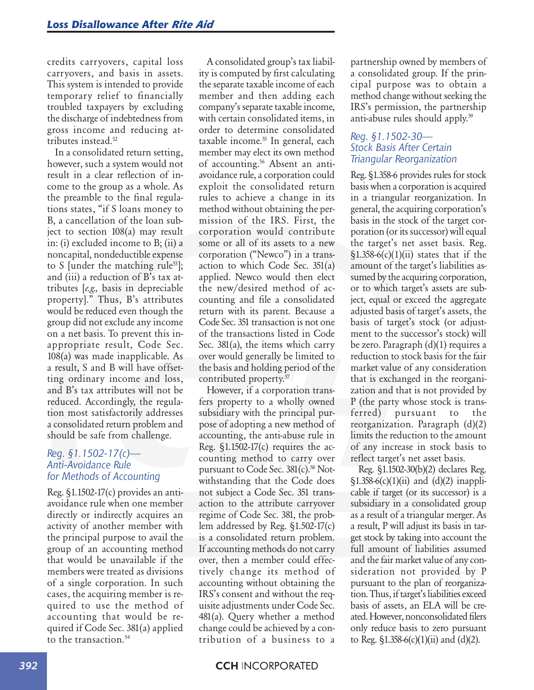credits carryovers, capital loss carryovers, and basis in assets. This system is intended to provide temporary relief to financially troubled taxpayers by excluding the discharge of indebtedness from gross income and reducing attributes instead.<sup>52</sup>

In a consolidated return setting, however, such a system would not result in a clear reflection of income to the group as a whole. As the preamble to the final regulations states, "if S loans money to B, a cancellation of the loan subject to section 108(a) may result in: (i) excluded income to B; (ii) a noncapital, nondeductible expense to S [under the matching rule<sup>53]</sup>; and (iii) a reduction of B's tax attributes [*e.g.,* basis in depreciable property]." Thus, B's attributes would be reduced even though the group did not exclude any income on a net basis. To prevent this inappropriate result, Code Sec. 108(a) was made inapplicable. As a result, S and B will have offsetting ordinary income and loss, and B's tax attributes will not be reduced. Accordingly, the regulation most satisfactorily addresses a consolidated return problem and should be safe from challenge.

#### *Reg. §1.1502-17(c)— Anti-Avoidance Rule for Methods of Accounting*

Reg. §1.1502-17(c) provides an antiavoidance rule when one member directly or indirectly acquires an activity of another member with the principal purpose to avail the group of an accounting method that would be unavailable if the members were treated as divisions of a single corporation. In such cases, the acquiring member is required to use the method of accounting that would be required if Code Sec. 381(a) applied to the transaction.54

A consolidated group's tax liability is computed by first calculating the separate taxable income of each member and then adding each company's separate taxable income, with certain consolidated items, in order to determine consolidated taxable income.<sup>55</sup> In general, each member may elect its own method of accounting.<sup>56</sup> Absent an antiavoidance rule, a corporation could exploit the consolidated return rules to achieve a change in its method without obtaining the permission of the IRS. First, the corporation would contribute some or all of its assets to a new corporation ("Newco") in a transaction to which Code Sec. 351(a) applied. Newco would then elect the new/desired method of accounting and file a consolidated return with its parent. Because a Code Sec. 351 transaction is not one of the transactions listed in Code Sec. 381(a), the items which carry over would generally be limited to the basis and holding period of the contributed property.<sup>57</sup>

However, if a corporation transfers property to a wholly owned subsidiary with the principal purpose of adopting a new method of accounting, the anti-abuse rule in Reg.  $\S1.1502-17(c)$  requires the accounting method to carry over pursuant to Code Sec. 381(c).<sup>58</sup> Notwithstanding that the Code does not subject a Code Sec. 351 transaction to the attribute carryover regime of Code Sec. 381, the problem addressed by Reg. §1.502-17(c) is a consolidated return problem. If accounting methods do not carry over, then a member could effectively change its method of accounting without obtaining the IRS's consent and without the requisite adjustments under Code Sec. 481(a). Query whether a method change could be achieved by a contribution of a business to a

partnership owned by members of a consolidated group. If the principal purpose was to obtain a method change without seeking the IRS's permission, the partnership anti-abuse rules should apply.<sup>59</sup>

#### *Reg. §1.1502-30— Stock Basis After Certain Triangular Reorganization*

Reg. §1.358-6 provides rules for stock basis when a corporation is acquired in a triangular reorganization. In general, the acquiring corporation's basis in the stock of the target corporation (or its successor) will equal the target's net asset basis. Reg.  $$1.358-6(c)(1)(ii)$  states that if the amount of the target's liabilities assumed by the acquiring corporation, or to which target's assets are subject, equal or exceed the aggregate adjusted basis of target's assets, the basis of target's stock (or adjustment to the successor's stock) will be zero. Paragraph (d)(1) requires a reduction to stock basis for the fair market value of any consideration that is exchanged in the reorganization and that is not provided by P (the party whose stock is transferred) pursuant to the reorganization. Paragraph (d)(2) limits the reduction to the amount of any increase in stock basis to reflect target's net asset basis.

Reg. §1.1502-30(b)(2) declares Reg.  $\S1.358-6(c)(1)(ii)$  and  $(d)(2)$  inapplicable if target (or its successor) is a subsidiary in a consolidated group as a result of a triangular merger. As a result, P will adjust its basis in target stock by taking into account the full amount of liabilities assumed and the fair market value of any consideration not provided by P pursuant to the plan of reorganization. Thus, if target's liabilities exceed basis of assets, an ELA will be created. However, nonconsolidated filers only reduce basis to zero pursuant to Reg.  $\S 1.358-6(c)(1)(ii)$  and  $(d)(2)$ .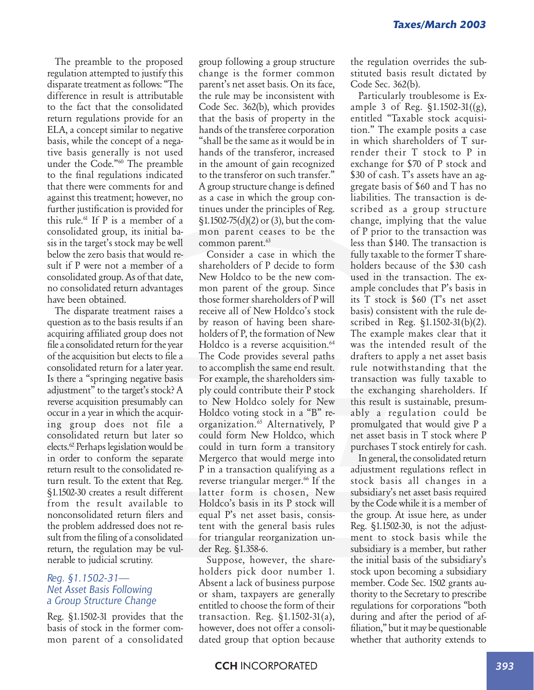The preamble to the proposed regulation attempted to justify this disparate treatment as follows: "The difference in result is attributable to the fact that the consolidated return regulations provide for an ELA, a concept similar to negative basis, while the concept of a negative basis generally is not used under the Code."60 The preamble to the final regulations indicated that there were comments for and against this treatment; however, no further justification is provided for this rule.<sup>61</sup> If  $P$  is a member of a consolidated group, its initial basis in the target's stock may be well below the zero basis that would result if P were not a member of a consolidated group. As of that date, no consolidated return advantages have been obtained.

The disparate treatment raises a question as to the basis results if an acquiring affiliated group does not file a consolidated return for the year of the acquisition but elects to file a consolidated return for a later year. Is there a "springing negative basis adjustment" to the target's stock? A reverse acquisition presumably can occur in a year in which the acquiring group does not file a consolidated return but later so elects.62 Perhaps legislation would be in order to conform the separate return result to the consolidated return result. To the extent that Reg. §1.1502-30 creates a result different from the result available to nonconsolidated return filers and the problem addressed does not result from the filing of a consolidated return, the regulation may be vulnerable to judicial scrutiny.

#### *Reg. §1.1502-31— Net Asset Basis Following a Group Structure Change*

Reg. §1.1502-31 provides that the basis of stock in the former common parent of a consolidated

group following a group structure change is the former common parent's net asset basis. On its face, the rule may be inconsistent with Code Sec. 362(b), which provides that the basis of property in the hands of the transferee corporation "shall be the same as it would be in hands of the transferor, increased in the amount of gain recognized to the transferor on such transfer." A group structure change is defined as a case in which the group continues under the principles of Reg. §1.1502-75(d)(2) or (3), but the common parent ceases to be the common parent.<sup>63</sup>

Consider a case in which the shareholders of P decide to form New Holdco to be the new common parent of the group. Since those former shareholders of P will receive all of New Holdco's stock by reason of having been shareholders of P, the formation of New Holdco is a reverse acquisition.<sup>64</sup> The Code provides several paths to accomplish the same end result. For example, the shareholders simply could contribute their P stock to New Holdco solely for New Holdco voting stock in a "B" reorganization.<sup>65</sup> Alternatively, P could form New Holdco, which could in turn form a transitory Mergerco that would merge into P in a transaction qualifying as a reverse triangular merger.<sup>66</sup> If the latter form is chosen, New Holdco's basis in its P stock will equal P's net asset basis, consistent with the general basis rules for triangular reorganization under Reg. §1.358-6.

Suppose, however, the shareholders pick door number 1. Absent a lack of business purpose or sham, taxpayers are generally entitled to choose the form of their transaction. Reg. §1.1502-31(a), however, does not offer a consolidated group that option because the regulation overrides the substituted basis result dictated by Code Sec. 362(b).

Particularly troublesome is Example 3 of Reg. §1.1502-31((g), entitled "Taxable stock acquisition." The example posits a case in which shareholders of T surrender their T stock to P in exchange for \$70 of P stock and \$30 of cash. T's assets have an aggregate basis of \$60 and T has no liabilities. The transaction is described as a group structure change, implying that the value of P prior to the transaction was less than \$140. The transaction is fully taxable to the former T shareholders because of the \$30 cash used in the transaction. The example concludes that P's basis in its T stock is \$60 (T's net asset basis) consistent with the rule described in Reg. §1.1502-31(b)(2). The example makes clear that it was the intended result of the drafters to apply a net asset basis rule notwithstanding that the transaction was fully taxable to the exchanging shareholders. If this result is sustainable, presumably a regulation could be promulgated that would give P a net asset basis in T stock where P purchases T stock entirely for cash.

In general, the consolidated return adjustment regulations reflect in stock basis all changes in a subsidiary's net asset basis required by the Code while it is a member of the group. At issue here, as under Reg. §1.1502-30, is not the adjustment to stock basis while the subsidiary is a member, but rather the initial basis of the subsidiary's stock upon becoming a subsidiary member. Code Sec. 1502 grants authority to the Secretary to prescribe regulations for corporations "both during and after the period of affiliation," but it may be questionable whether that authority extends to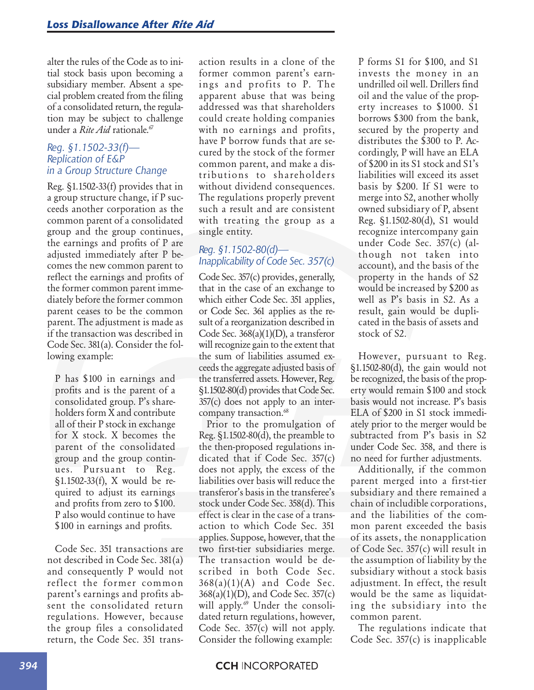alter the rules of the Code as to initial stock basis upon becoming a subsidiary member. Absent a special problem created from the filing of a consolidated return, the regulation may be subject to challenge under a *Rite Aid* rationale.<sup>67</sup>

#### *Reg. §1.1502-33(f)— Replication of E&P in a Group Structure Change*

Reg. §1.1502-33(f) provides that in a group structure change, if P succeeds another corporation as the common parent of a consolidated group and the group continues, the earnings and profits of P are adjusted immediately after P becomes the new common parent to reflect the earnings and profits of the former common parent immediately before the former common parent ceases to be the common parent. The adjustment is made as if the transaction was described in Code Sec. 381(a). Consider the following example:

P has \$100 in earnings and profits and is the parent of a consolidated group. P's shareholders form X and contribute all of their P stock in exchange for X stock. X becomes the parent of the consolidated group and the group continues. Pursuant to Reg. §1.1502-33(f), X would be required to adjust its earnings and profits from zero to \$100. P also would continue to have \$100 in earnings and profits.

Code Sec. 351 transactions are not described in Code Sec. 381(a) and consequently P would not reflect the former common parent's earnings and profits absent the consolidated return regulations. However, because the group files a consolidated return, the Code Sec. 351 transaction results in a clone of the former common parent's earnings and profits to P. The apparent abuse that was being addressed was that shareholders could create holding companies with no earnings and profits, have P borrow funds that are secured by the stock of the former common parent, and make a distributions to shareholders without dividend consequences. The regulations properly prevent such a result and are consistent with treating the group as a single entity.

#### *Reg. §1.1502-80(d)— Inapplicability of Code Sec. 357(c)*

Code Sec. 357(c) provides, generally, that in the case of an exchange to which either Code Sec. 351 applies, or Code Sec. 361 applies as the result of a reorganization described in Code Sec. 368(a)(1)(D), a transferor will recognize gain to the extent that the sum of liabilities assumed exceeds the aggregate adjusted basis of the transferred assets. However, Reg. §1.1502-80(d) provides that Code Sec. 357(c) does not apply to an intercompany transaction.<sup>68</sup>

Prior to the promulgation of Reg. §1.1502-80(d), the preamble to the then-proposed regulations indicated that if Code Sec. 357(c) does not apply, the excess of the liabilities over basis will reduce the transferor's basis in the transferee's stock under Code Sec. 358(d). This effect is clear in the case of a transaction to which Code Sec. 351 applies. Suppose, however, that the two first-tier subsidiaries merge. The transaction would be described in both Code Sec.  $368(a)(1)(A)$  and Code Sec. 368(a)(1)(D), and Code Sec. 357(c) will apply.<sup>69</sup> Under the consolidated return regulations, however, Code Sec. 357(c) will not apply. Consider the following example:

P forms S1 for \$100, and S1 invests the money in an undrilled oil well. Drillers find oil and the value of the property increases to \$1000. S1 borrows \$300 from the bank, secured by the property and distributes the \$300 to P. Accordingly, P will have an ELA of \$200 in its S1 stock and S1's liabilities will exceed its asset basis by \$200. If S1 were to merge into S2, another wholly owned subsidiary of P, absent Reg. §1.1502-80(d), S1 would recognize intercompany gain under Code Sec. 357(c) (although not taken into account), and the basis of the property in the hands of S2 would be increased by \$200 as well as P's basis in S2. As a result, gain would be duplicated in the basis of assets and stock of S2.

However, pursuant to Reg. §1.1502-80(d), the gain would not be recognized, the basis of the property would remain \$100 and stock basis would not increase. P's basis ELA of \$200 in S1 stock immediately prior to the merger would be subtracted from P's basis in S2 under Code Sec. 358, and there is no need for further adjustments.

Additionally, if the common parent merged into a first-tier subsidiary and there remained a chain of includible corporations, and the liabilities of the common parent exceeded the basis of its assets, the nonapplication of Code Sec. 357(c) will result in the assumption of liability by the subsidiary without a stock basis adjustment. In effect, the result would be the same as liquidating the subsidiary into the common parent.

The regulations indicate that Code Sec. 357(c) is inapplicable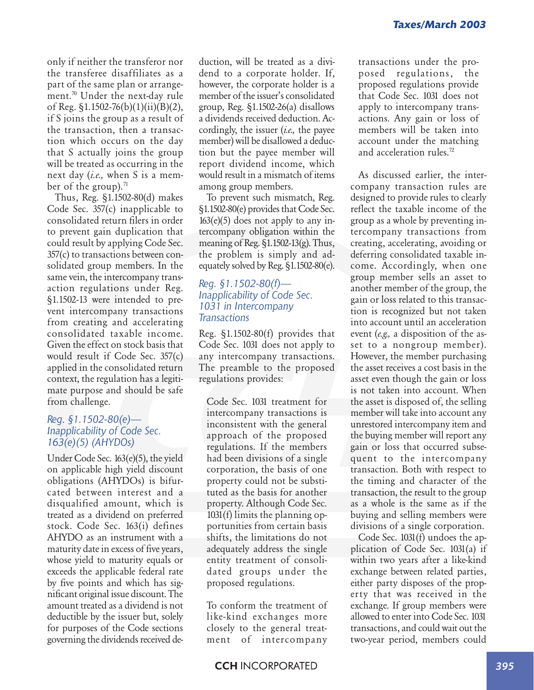only if neither the transferor nor the transferee disaffiliates as a part of the same plan or arrangement.70 Under the next-day rule of Reg. §1.1502-76(b)(1)(ii)(B)(2), if S joins the group as a result of the transaction, then a transaction which occurs on the day that S actually joins the group will be treated as occurring in the next day (*i.e.,* when S is a member of the group). $71$ 

Thus, Reg. §1.1502-80(d) makes Code Sec. 357(c) inapplicable to consolidated return filers in order to prevent gain duplication that could result by applying Code Sec. 357(c) to transactions between consolidated group members. In the same vein, the intercompany transaction regulations under Reg. §1.1502-13 were intended to prevent intercompany transactions from creating and accelerating consolidated taxable income. Given the effect on stock basis that would result if Code Sec. 357(c) applied in the consolidated return context, the regulation has a legitimate purpose and should be safe from challenge.

#### *Reg. §1.1502-80(e)— Inapplicability of Code Sec. 163(e)(5) (AHYDOs)*

Under Code Sec. 163(e)(5), the yield on applicable high yield discount obligations (AHYDOs) is bifurcated between interest and a disqualified amount, which is treated as a dividend on preferred stock. Code Sec. 163(i) defines AHYDO as an instrument with a maturity date in excess of five years, whose yield to maturity equals or exceeds the applicable federal rate by five points and which has significant original issue discount. The amount treated as a dividend is not deductible by the issuer but, solely for purposes of the Code sections governing the dividends received deduction, will be treated as a dividend to a corporate holder. If, however, the corporate holder is a member of the issuer's consolidated group, Reg. §1.1502-26(a) disallows a dividends received deduction. Accordingly, the issuer (*i.e.,* the payee member) will be disallowed a deduction but the payee member will report dividend income, which would result in a mismatch of items among group members.

To prevent such mismatch, Reg. §1.1502-80(e) provides that Code Sec.  $163(e)(5)$  does not apply to any intercompany obligation within the meaning of Reg. §1.1502-13(g). Thus, the problem is simply and adequately solved by Reg. §1.1502-80(e).

#### *Reg. §1.1502-80(f)— Inapplicability of Code Sec. 1031 in Intercompany Transactions*

Reg. §1.1502-80(f) provides that Code Sec. 1031 does not apply to any intercompany transactions. The preamble to the proposed regulations provides:

Code Sec. 1031 treatment for intercompany transactions is inconsistent with the general approach of the proposed regulations. If the members had been divisions of a single corporation, the basis of one property could not be substituted as the basis for another property. Although Code Sec. 1031(f) limits the planning opportunities from certain basis shifts, the limitations do not adequately address the single entity treatment of consolidated groups under the proposed regulations.

To conform the treatment of like-kind exchanges more closely to the general treatment of intercompany

transactions under the proposed regulations, the proposed regulations provide that Code Sec. 1031 does not apply to intercompany transactions. Any gain or loss of members will be taken into account under the matching and acceleration rules.72

As discussed earlier, the intercompany transaction rules are designed to provide rules to clearly reflect the taxable income of the group as a whole by preventing intercompany transactions from creating, accelerating, avoiding or deferring consolidated taxable income. Accordingly, when one group member sells an asset to another member of the group, the gain or loss related to this transaction is recognized but not taken into account until an acceleration event (*e.g.,* a disposition of the asset to a nongroup member). However, the member purchasing the asset receives a cost basis in the asset even though the gain or loss is not taken into account. When the asset is disposed of, the selling member will take into account any unrestored intercompany item and the buying member will report any gain or loss that occurred subsequent to the intercompany transaction. Both with respect to the timing and character of the transaction, the result to the group as a whole is the same as if the buying and selling members were divisions of a single corporation.

Code Sec. 1031(f) undoes the application of Code Sec. 1031(a) if within two years after a like-kind exchange between related parties, either party disposes of the property that was received in the exchange. If group members were allowed to enter into Code Sec. 1031 transactions, and could wait out the two-year period, members could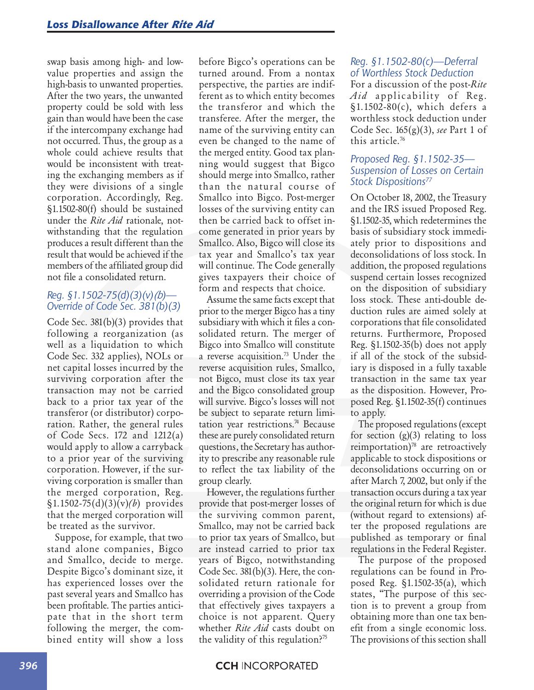swap basis among high- and lowvalue properties and assign the high-basis to unwanted properties. After the two years, the unwanted property could be sold with less gain than would have been the case if the intercompany exchange had not occurred. Thus, the group as a whole could achieve results that would be inconsistent with treating the exchanging members as if they were divisions of a single corporation. Accordingly, Reg. §1.1502-80(f) should be sustained under the *Rite Aid* rationale, notwithstanding that the regulation produces a result different than the result that would be achieved if the members of the affiliated group did not file a consolidated return.

#### *Reg. §1.1502-75(d)(3)(v)(b)— Override of Code Sec. 381(b)(3)*

Code Sec. 381(b)(3) provides that following a reorganization (as well as a liquidation to which Code Sec. 332 applies), NOLs or net capital losses incurred by the surviving corporation after the transaction may not be carried back to a prior tax year of the transferor (or distributor) corporation. Rather, the general rules of Code Secs. 172 and 1212(a) would apply to allow a carryback to a prior year of the surviving corporation. However, if the surviving corporation is smaller than the merged corporation, Reg. §1.1502-75(d)(3)(v)*(b*) provides that the merged corporation will be treated as the survivor.

Suppose, for example, that two stand alone companies, Bigco and Smallco, decide to merge. Despite Bigco's dominant size, it has experienced losses over the past several years and Smallco has been profitable. The parties anticipate that in the short term following the merger, the combined entity will show a loss

before Bigco's operations can be turned around. From a nontax perspective, the parties are indifferent as to which entity becomes the transferor and which the transferee. After the merger, the name of the surviving entity can even be changed to the name of the merged entity. Good tax planning would suggest that Bigco should merge into Smallco, rather than the natural course of Smallco into Bigco. Post-merger losses of the surviving entity can then be carried back to offset income generated in prior years by Smallco. Also, Bigco will close its tax year and Smallco's tax year will continue. The Code generally gives taxpayers their choice of form and respects that choice.

Assume the same facts except that prior to the merger Bigco has a tiny subsidiary with which it files a consolidated return. The merger of Bigco into Smallco will constitute a reverse acquisition.<sup>73</sup> Under the reverse acquisition rules, Smallco, not Bigco, must close its tax year and the Bigco consolidated group will survive. Bigco's losses will not be subject to separate return limitation year restrictions.<sup>74</sup> Because these are purely consolidated return questions, the Secretary has authority to prescribe any reasonable rule to reflect the tax liability of the group clearly.

However, the regulations further provide that post-merger losses of the surviving common parent, Smallco, may not be carried back to prior tax years of Smallco, but are instead carried to prior tax years of Bigco, notwithstanding Code Sec. 381(b)(3). Here, the consolidated return rationale for overriding a provision of the Code that effectively gives taxpayers a choice is not apparent. Query whether *Rite Aid* casts doubt on the validity of this regulation? $75$ 

#### *Reg. §1.1502-80(c)—Deferral of Worthless Stock Deduction*

For a discussion of the post-*Rite Aid* applicability of Reg. §1.1502-80(c), which defers a worthless stock deduction under Code Sec. 165(g)(3), *see* Part 1 of this article.76

#### *Proposed Reg. §1.1502-35— Suspension of Losses on Certain Stock Dispositions77*

On October 18, 2002, the Treasury and the IRS issued Proposed Reg. §1.1502-35, which redetermines the basis of subsidiary stock immediately prior to dispositions and deconsolidations of loss stock. In addition, the proposed regulations suspend certain losses recognized on the disposition of subsidiary loss stock. These anti-double deduction rules are aimed solely at corporations that file consolidated returns. Furthermore, Proposed Reg. §1.1502-35(b) does not apply if all of the stock of the subsidiary is disposed in a fully taxable transaction in the same tax year as the disposition. However, Proposed Reg. §1.1502-35(f) continues to apply.

The proposed regulations (except for section  $(g)(3)$  relating to loss reimportation) $78$  are retroactively applicable to stock dispositions or deconsolidations occurring on or after March 7, 2002, but only if the transaction occurs during a tax year the original return for which is due (without regard to extensions) after the proposed regulations are published as temporary or final regulations in the Federal Register.

The purpose of the proposed regulations can be found in Proposed Reg. §1.1502-35(a), which states, "The purpose of this section is to prevent a group from obtaining more than one tax benefit from a single economic loss. The provisions of this section shall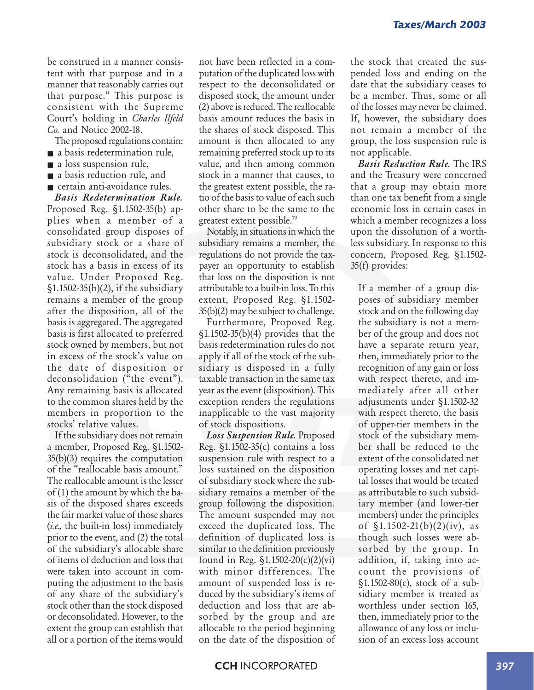be construed in a manner consistent with that purpose and in a manner that reasonably carries out that purpose." This purpose is consistent with the Supreme Court's holding in *Charles Ilfeld Co.* and Notice 2002-18.

- The proposed regulations contain:
- a basis redetermination rule,
- a loss suspension rule,
- a basis reduction rule, and ■ certain anti-avoidance rules.

*Basis Redetermination Rule.* Proposed Reg. §1.1502-35(b) applies when a member of a consolidated group disposes of subsidiary stock or a share of stock is deconsolidated, and the stock has a basis in excess of its value. Under Proposed Reg. §1.1502-35(b)(2), if the subsidiary remains a member of the group after the disposition, all of the basis is aggregated. The aggregated basis is first allocated to preferred stock owned by members, but not in excess of the stock's value on the date of disposition or deconsolidation ("the event"). Any remaining basis is allocated to the common shares held by the members in proportion to the stocks' relative values.

If the subsidiary does not remain a member, Proposed Reg. §1.1502- 35(b)(3) requires the computation of the "reallocable basis amount." The reallocable amount is the lesser of (1) the amount by which the basis of the disposed shares exceeds the fair market value of those shares (*i.e.,* the built-in loss) immediately prior to the event, and (2) the total of the subsidiary's allocable share of items of deduction and loss that were taken into account in computing the adjustment to the basis of any share of the subsidiary's stock other than the stock disposed or deconsolidated. However, to the extent the group can establish that all or a portion of the items would

not have been reflected in a computation of the duplicated loss with respect to the deconsolidated or disposed stock, the amount under (2) above is reduced. The reallocable basis amount reduces the basis in the shares of stock disposed. This amount is then allocated to any remaining preferred stock up to its value, and then among common stock in a manner that causes, to the greatest extent possible, the ratio of the basis to value of each such other share to be the same to the greatest extent possible.79

Notably, in situations in which the subsidiary remains a member, the regulations do not provide the taxpayer an opportunity to establish that loss on the disposition is not attributable to a built-in loss. To this extent, Proposed Reg. §1.1502- 35(b)(2) may be subject to challenge.

Furthermore, Proposed Reg. §1.1502-35(b)(4) provides that the basis redetermination rules do not apply if all of the stock of the subsidiary is disposed in a fully taxable transaction in the same tax year as the event (disposition). This exception renders the regulations inapplicable to the vast majority of stock dispositions.

*Loss Suspension Rule.* Proposed Reg. §1.1502-35(c) contains a loss suspension rule with respect to a loss sustained on the disposition of subsidiary stock where the subsidiary remains a member of the group following the disposition. The amount suspended may not exceed the duplicated loss. The definition of duplicated loss is similar to the definition previously found in Reg. §1.1502-20(c)(2)(vi) with minor differences. The amount of suspended loss is reduced by the subsidiary's items of deduction and loss that are absorbed by the group and are allocable to the period beginning on the date of the disposition of the stock that created the suspended loss and ending on the date that the subsidiary ceases to be a member. Thus, some or all of the losses may never be claimed. If, however, the subsidiary does not remain a member of the group, the loss suspension rule is not applicable.

*Basis Reduction Rule.* The IRS and the Treasury were concerned that a group may obtain more than one tax benefit from a single economic loss in certain cases in which a member recognizes a loss upon the dissolution of a worthless subsidiary. In response to this concern, Proposed Reg. §1.1502- 35(f) provides:

If a member of a group disposes of subsidiary member stock and on the following day the subsidiary is not a member of the group and does not have a separate return year, then, immediately prior to the recognition of any gain or loss with respect thereto, and immediately after all other adjustments under §1.1502-32 with respect thereto, the basis of upper-tier members in the stock of the subsidiary member shall be reduced to the extent of the consolidated net operating losses and net capital losses that would be treated as attributable to such subsidiary member (and lower-tier members) under the principles of  $\S 1.1502 - 21(b)(2)(iv)$ , as though such losses were absorbed by the group. In addition, if, taking into account the provisions of §1.1502-80(c), stock of a subsidiary member is treated as worthless under section 165, then, immediately prior to the allowance of any loss or inclusion of an excess loss account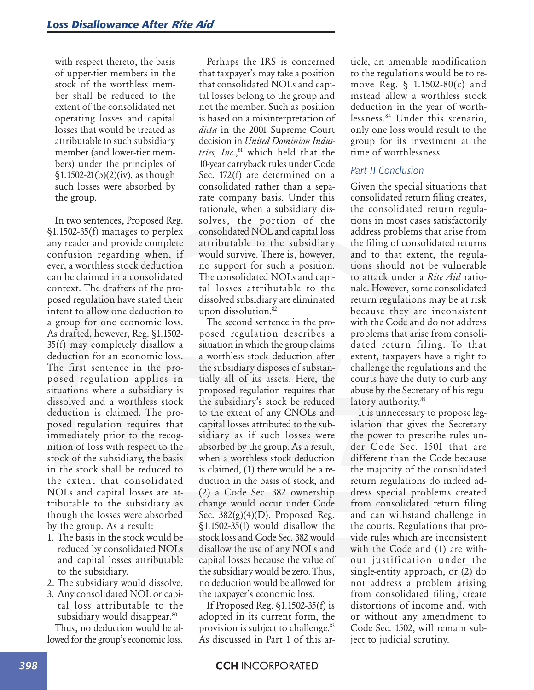with respect thereto, the basis of upper-tier members in the stock of the worthless member shall be reduced to the extent of the consolidated net operating losses and capital losses that would be treated as attributable to such subsidiary member (and lower-tier members) under the principles of  $\S 1.1502-21(b)(2)(iv)$ , as though such losses were absorbed by the group.

In two sentences, Proposed Reg. §1.1502-35(f) manages to perplex any reader and provide complete confusion regarding when, if ever, a worthless stock deduction can be claimed in a consolidated context. The drafters of the proposed regulation have stated their intent to allow one deduction to a group for one economic loss. As drafted, however, Reg. §1.1502- 35(f) may completely disallow a deduction for an economic loss. The first sentence in the proposed regulation applies in situations where a subsidiary is dissolved and a worthless stock deduction is claimed. The proposed regulation requires that immediately prior to the recognition of loss with respect to the stock of the subsidiary, the basis in the stock shall be reduced to the extent that consolidated NOLs and capital losses are attributable to the subsidiary as though the losses were absorbed by the group. As a result:

- 1. The basis in the stock would be reduced by consolidated NOLs and capital losses attributable to the subsidiary.
- 2. The subsidiary would dissolve.
- 3. Any consolidated NOL or capital loss attributable to the subsidiary would disappear.<sup>80</sup> Thus, no deduction would be al-

lowed for the group's economic loss.

Perhaps the IRS is concerned that taxpayer's may take a position that consolidated NOLs and capital losses belong to the group and not the member. Such as position is based on a misinterpretation of *dicta* in the 2001 Supreme Court decision in *United Dominion Industries, Inc.*,<sup>81</sup> which held that the 10-year carryback rules under Code Sec. 172(f) are determined on a consolidated rather than a separate company basis. Under this rationale, when a subsidiary dissolves, the portion of the consolidated NOL and capital loss attributable to the subsidiary would survive. There is, however, no support for such a position. The consolidated NOLs and capital losses attributable to the dissolved subsidiary are eliminated upon dissolution.<sup>82</sup>

The second sentence in the proposed regulation describes a situation in which the group claims a worthless stock deduction after the subsidiary disposes of substantially all of its assets. Here, the proposed regulation requires that the subsidiary's stock be reduced to the extent of any CNOLs and capital losses attributed to the subsidiary as if such losses were absorbed by the group. As a result, when a worthless stock deduction is claimed, (1) there would be a reduction in the basis of stock, and (2) a Code Sec. 382 ownership change would occur under Code Sec.  $382(g)(4)(D)$ . Proposed Reg. §1.1502-35(f) would disallow the stock loss and Code Sec. 382 would disallow the use of any NOLs and capital losses because the value of the subsidiary would be zero. Thus, no deduction would be allowed for the taxpayer's economic loss.

If Proposed Reg. §1.1502-35(f) is adopted in its current form, the provision is subject to challenge.<sup>83</sup> As discussed in Part 1 of this article, an amenable modification to the regulations would be to remove Reg. § 1.1502-80(c) and instead allow a worthless stock deduction in the year of worthlessness.84 Under this scenario, only one loss would result to the group for its investment at the time of worthlessness.

### *Part II Conclusion*

Given the special situations that consolidated return filing creates, the consolidated return regulations in most cases satisfactorily address problems that arise from the filing of consolidated returns and to that extent, the regulations should not be vulnerable to attack under a *Rite Aid* rationale. However, some consolidated return regulations may be at risk because they are inconsistent with the Code and do not address problems that arise from consolidated return filing. To that extent, taxpayers have a right to challenge the regulations and the courts have the duty to curb any abuse by the Secretary of his regulatory authority.<sup>85</sup>

It is unnecessary to propose legislation that gives the Secretary the power to prescribe rules under Code Sec. 1501 that are different than the Code because the majority of the consolidated return regulations do indeed address special problems created from consolidated return filing and can withstand challenge in the courts. Regulations that provide rules which are inconsistent with the Code and (1) are without justification under the single-entity approach, or (2) do not address a problem arising from consolidated filing, create distortions of income and, with or without any amendment to Code Sec. 1502, will remain subject to judicial scrutiny.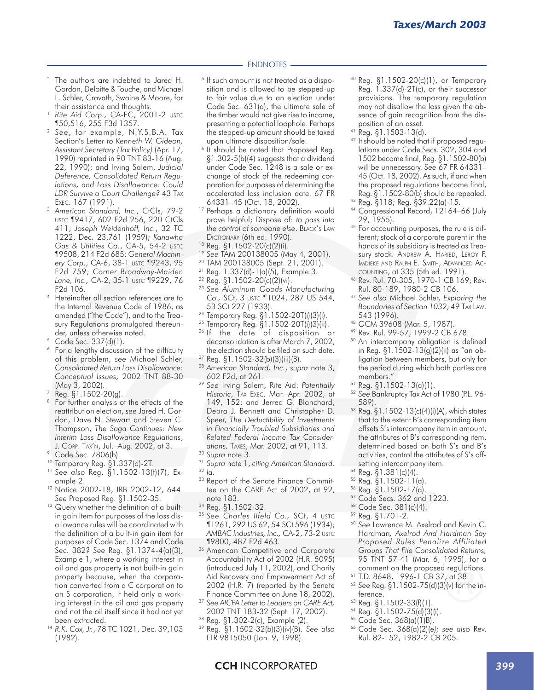#### ENDNOTES

- The authors are indebted to Jared H. Gordon, Deloitte & Touche, and Michael L. Schler, Cravath, Swaine & Moore, for their assistance and thoughts.
- Rite Aid Corp., CA-FC, 2001-2 USTC ¶50,516, 255 F3d 1357.
- <sup>2</sup> *See*, for example, N.Y.S.B.A. Tax Section's *Letter to Kenneth W. Gideon, Assistant Secretary (Tax Policy)* (Apr. 17, 1990) reprinted in 90 TNT 83-16 (Aug. 22, 1990); and Irving Salem, *Judicial Deference, Consolidated Return Regulations, and Loss Disallowance: Could LDR Survive a Court Challenge?* 43 TAX EXEC. 167 (1991).
- <sup>3</sup> *American Standard, Inc.*, CtCls, 79-2 USTC ¶9417, 602 F2d 256, 220 CtCls 411; *Joseph Weidenhoff, Inc.*, 32 TC 1222, Dec. 23,761 (1959); *Kanawha Gas & Utilities Co.*, CA-5, 54-2 USTC ¶9508, 214 F2d 685; *General Machinery Corp*., CA-6, 38-1 USTC ¶9243, 95 F2d 759; *Corner Broadway-Maiden Lane, Inc.,* CA-2, 35-1 USTC ¶9229, 76 F2d 106.
- <sup>4</sup> Hereinafter all section references are to the Internal Revenue Code of 1986, as amended ("the Code"), and to the Treasury Regulations promulgated thereunder, unless otherwise noted.
- Code Sec. 337(d)(1).
- <sup>6</sup> For a lengthy discussion of the difficulty of this problem, *see* Michael Schler, *Consolidated Return Loss Disallowance: Conceptual Issues,* 2002 TNT 88-30 (May 3, 2002).
- $7$  Reg.  $\S1.1502-20(q)$ .
- <sup>8</sup> For further analysis of the effects of the reattribution election, *see* Jared H. Gordon, Dave N. Stewart and Steven C. Thompson, *The Saga Continues: New Interim Loss Disallowance Regulations*, J. CORP. TAX'N, Jul.–Aug. 2002, at 3.
- <sup>9</sup> Code Sec. 7806(b).
- <sup>10</sup> Temporary Reg. §1.337(d)-2T.
- <sup>11</sup> *See also* Reg. §1.1502-13(f)(7), Example 2.
- <sup>12</sup> Notice 2002-18, IRB 2002-12, 644. *See* Proposed Reg. §1.1502-35.
- <sup>13</sup> Query whether the definition of a builtin gain item for purposes of the loss disallowance rules will be coordinated with the definition of a built-in gain item for purposes of Code Sec. 1374 and Code Sec. 382? *See* Reg. §1.1374-4(a)(3), Example 1, where a working interest in oil and gas property is not built-in gain property because, when the corporation converted from a C corporation to an S corporation, it held only a working interest in the oil and gas property and not the oil itself since it had not yet been extracted.
- <sup>14</sup> *R.K. Cox, Jr.*, 78 TC 1021, Dec. 39,103 (1982).
- <sup>15</sup> If such amount is not treated as a disposition and is allowed to be stepped-up to fair value due to an election under Code Sec. 631(a), the ultimate sale of the timber would not give rise to income, presenting a potential loophole. Perhaps the stepped-up amount should be taxed upon ultimate disposition/sale.
- <sup>16</sup> It should be noted that Proposed Reg. §1.302-5(b)(4) suggests that a dividend under Code Sec. 1248 is a sale or exchange of stock of the redeeming corporation for purposes of determining the accelerated loss inclusion date. 67 FR 64331–45 (Oct. 18, 2002).
- <sup>17</sup> Perhaps a dictionary definition would prove helpful; Dispose of: *to pass into the control of someone else*. BLACK'S LAW DICTIONARY (6th ed. 1990).
- $^{18}$  Reg. §1.1502-20(c)(2)(i).
- <sup>19</sup> *See* TAM 200138005 (May 4, 2001).
- <sup>20</sup> TAM 200138005 (Sept. 21, 2001).
- <sup>21</sup> Reg. 1.337(d)-1(a)(5), Example 3.
- <sup>22</sup> Reg. §1.1502-20(c)(2)(vi).
- <sup>23</sup> *See Aluminum Goods Manufacturing Co.,* SCt, 3 USTC ¶1024, 287 US 544, 53 SCt 227 (1933).
- <sup>24</sup> Temporary Reg. §1.1502-20T(i)(3)(i).
- <sup>25</sup> Temporary Reg. §1.1502-20T(i)(3)(ii).
- <sup>26</sup> If the date of disposition or deconsolidation is after March 7, 2002, the election should be filed on such date.
- <sup>27</sup> Reg. §1.1502-32(b)(3)(iii)(B).
- <sup>28</sup> *American Standard, Inc.*, *supra* note 3, 602 F2d, at 261.
- <sup>29</sup> *See* Irving Salem, Rite Aid: *Potentially Historic*, TAX EXEC. Mar.–Apr. 2002, at 149, 152; and Jerred G. Blanchard, Debra J. Bennett and Christopher D. Speer, *The Deductibility of Investments in Financially Troubled Subsidiaries and Related Federal Income Tax Considerations,* TAXES, Mar. 2002, at 91, 113.
- <sup>30</sup> *Supra* note 3.
- <sup>31</sup> *Supra* note 1, *citing American Standard.* <sup>32</sup> *Id.*
- 33 Report of the Senate Finance Committee on the CARE Act of 2002, at 92, note 183.
- <sup>34</sup> Reg. §1.1502-32.
- <sup>35</sup> *See Charles Ilfeld Co.,* SCt, 4 USTC ¶1261, 292 US 62, 54 SCt 596 (1934); *AMBAC Industries, Inc.,* CA-2, 73-2 USTC ¶9800, 487 F2d 463.
- <sup>36</sup> American Competitive and Corporate Accountability Act of 2002 (H.R. 5095) (introduced July 11, 2002), and Charity Aid Recovery and Empowerment Act of 2002 (H.R. 7) (reported by the Senate Finance Committee on June 18, 2002).
- <sup>37</sup> *See AICPA Letter to Leaders on CARE Act,* 2002 TNT 183-32 (Sept. 17, 2002).
- 
- <sup>38</sup> Reg. §1.302-2(c), Example (2).<br><sup>39</sup> Reg. §1.1502-32(b)(3)(iv)(B) <sup>39</sup> Reg. §1.1502-32(b)(3)(iv)(B). *See also* LTR 9815050 (Jan. 9, 1998).
- <sup>40</sup> Reg. §1.1502-20(c)(1), or Temporary Reg. 1.337(d)-2T(c), or their successor provisions. The temporary regulation may not disallow the loss given the absence of gain recognition from the disposition of an asset.
- <sup>41</sup> Reg. §1.1503-13(d).
- <sup>42</sup> It should be noted that if proposed regulations under Code Secs. 302, 304 and 1502 become final, Reg. §1.1502-80(b) will be unnecessary. *See* 67 FR 64331– 45 (Oct. 18, 2002). As such, if and when the proposed regulations become final, Reg. §1.1502-80(b) should be repealed.
- <sup>43</sup> Reg. §118; Reg. §39.22(a)-15.
- <sup>44</sup> Congressional Record, 12164–66 (July 29, 1955).
- 45 For accounting purposes, the rule is different; stock of a corporate parent in the hands of its subsidiary is treated as Treasury stock. ANDREW A. HARIED, LEROY F. IMDIEKE AND RALPH E. SMITH, ADVANCED AC-COUNTING, at 335 (5th ed. 1991).
- <sup>46</sup> Rev. Rul. 70-305, 1970-1 CB 169; Rev. Rul. 80-189, 1980-2 CB 106.
- <sup>47</sup> *See also* Michael Schler, *Exploring the Boundaries of Section 1032*, 49 TAX LAW. 543 (1996).
- <sup>48</sup> GCM 39608 (Mar. 5, 1987).
- <sup>49</sup> Rev. Rul. 99-57, 1999-2 CB 678.
- <sup>50</sup> An intercompany obligation is defined in Reg. §1.1502-13(g)(2)(ii) as "an obligation between members, but only for the period during which both parties are members."
- <sup>51</sup> Reg. §1.1502-13(a)(1).
- <sup>52</sup> *See* Bankruptcy Tax Act of 1980 (P.L. 96- 589).
- <sup>53</sup> Reg. §1.1502-13(c)(4)(i)(A), which states that to the extent B's corresponding item offsets S's intercompany item in amount, the attributes of B's corresponding item, determined based on both S's and B's activities, control the attributes of S's offsetting intercompany item.
- <sup>54</sup> Reg. §1.381(c)(4).
- $55$  Reg.  $\S1.1502 11$ (a).
- 
- $^{56}$  Reg. §1.1502-17(a). Code Secs. 362 and 1223.
- <sup>58</sup> Code Sec. 381(c)(4).
- <sup>59</sup> Reg. §1.701-2.
- <sup>60</sup> *See* Lawrence M. Axelrod and Kevin C. Hardman*, Axelrod And Hardman Say Proposed Rules Penalize Affiliated Groups That File Consolidated Returns,* 95 TNT 57-41 (Mar. 6, 1995), for a comment on the proposed regulations.
- <sup>61</sup> T.D. 8648, 1996-1 CB 37, at 38.
- <sup>62</sup> *See* Reg. §1.1502-75(d)(3)(v) for the inference.
- <sup>63</sup> Reg. §1.1502-33(f)(1).
- <sup>64</sup> Reg. §1.1502-75(d)(3)(i).
- <sup>65</sup> Code Sec. 368(a)(1)B).
- <sup>66</sup> Code Sec. 368(a)(2)(e*); see also* Rev. Rul. 82-152, 1982-2 CB 205.